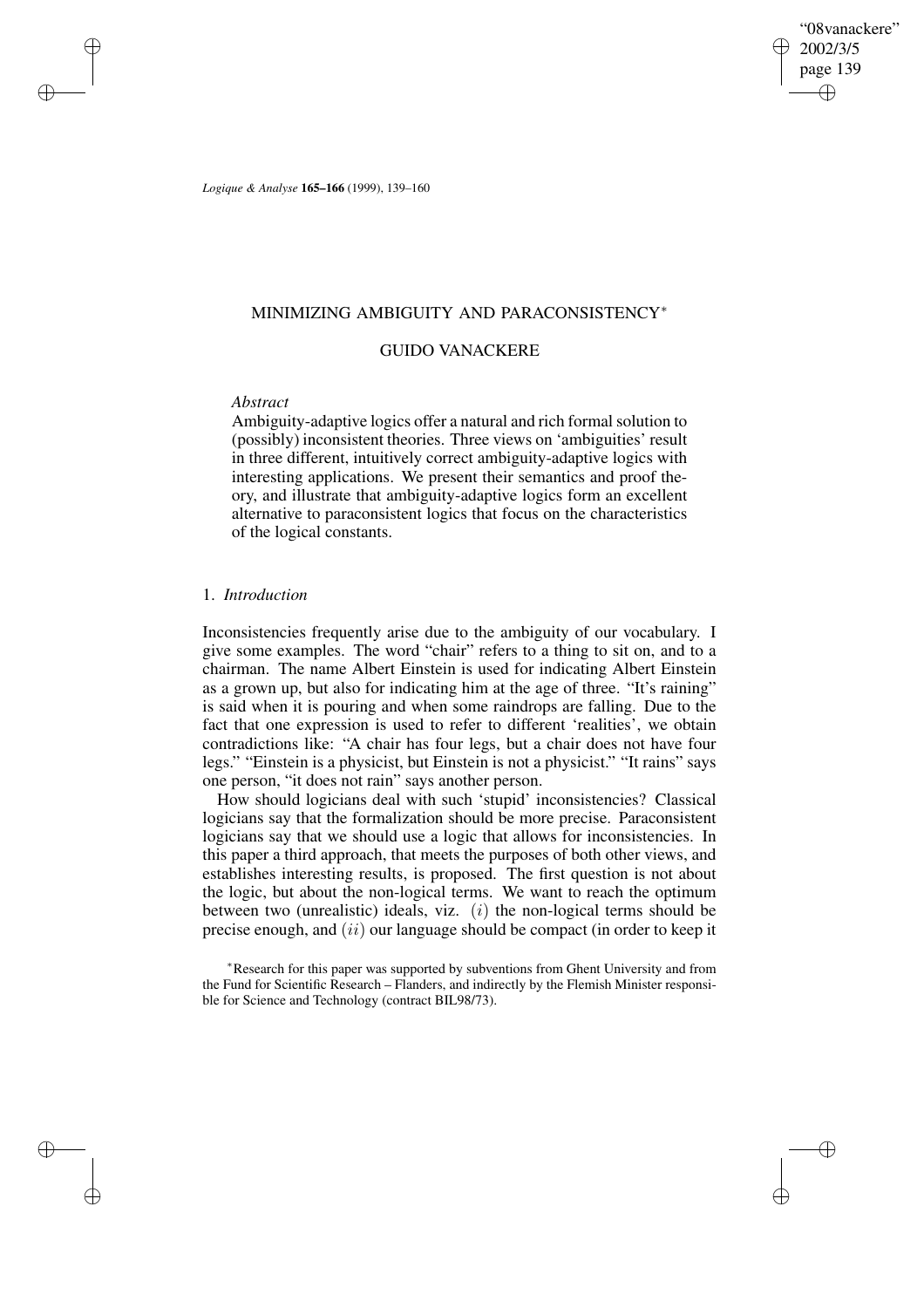"08vanackere" 2002/3/5 page 139 ✐ ✐

✐

✐

*Logique & Analyse* **165–166** (1999), 139–160

## MINIMIZING AMBIGUITY AND PARACONSISTENCY<sup>∗</sup>

## GUIDO VANACKERE

## *Abstract*

✐

✐

✐

✐

Ambiguity-adaptive logics offer a natural and rich formal solution to (possibly) inconsistent theories. Three views on 'ambiguities' result in three different, intuitively correct ambiguity-adaptive logics with interesting applications. We present their semantics and proof theory, and illustrate that ambiguity-adaptive logics form an excellent alternative to paraconsistent logics that focus on the characteristics of the logical constants.

### 1. *Introduction*

Inconsistencies frequently arise due to the ambiguity of our vocabulary. I give some examples. The word "chair" refers to a thing to sit on, and to a chairman. The name Albert Einstein is used for indicating Albert Einstein as a grown up, but also for indicating him at the age of three. "It's raining" is said when it is pouring and when some raindrops are falling. Due to the fact that one expression is used to refer to different 'realities', we obtain contradictions like: "A chair has four legs, but a chair does not have four legs." "Einstein is a physicist, but Einstein is not a physicist." "It rains" says one person, "it does not rain" says another person.

How should logicians deal with such 'stupid' inconsistencies? Classical logicians say that the formalization should be more precise. Paraconsistent logicians say that we should use a logic that allows for inconsistencies. In this paper a third approach, that meets the purposes of both other views, and establishes interesting results, is proposed. The first question is not about the logic, but about the non-logical terms. We want to reach the optimum between two (unrealistic) ideals, viz.  $(i)$  the non-logical terms should be precise enough, and  $(ii)$  our language should be compact (in order to keep it

<sup>∗</sup>Research for this paper was supported by subventions from Ghent University and from the Fund for Scientific Research – Flanders, and indirectly by the Flemish Minister responsible for Science and Technology (contract BIL98/73).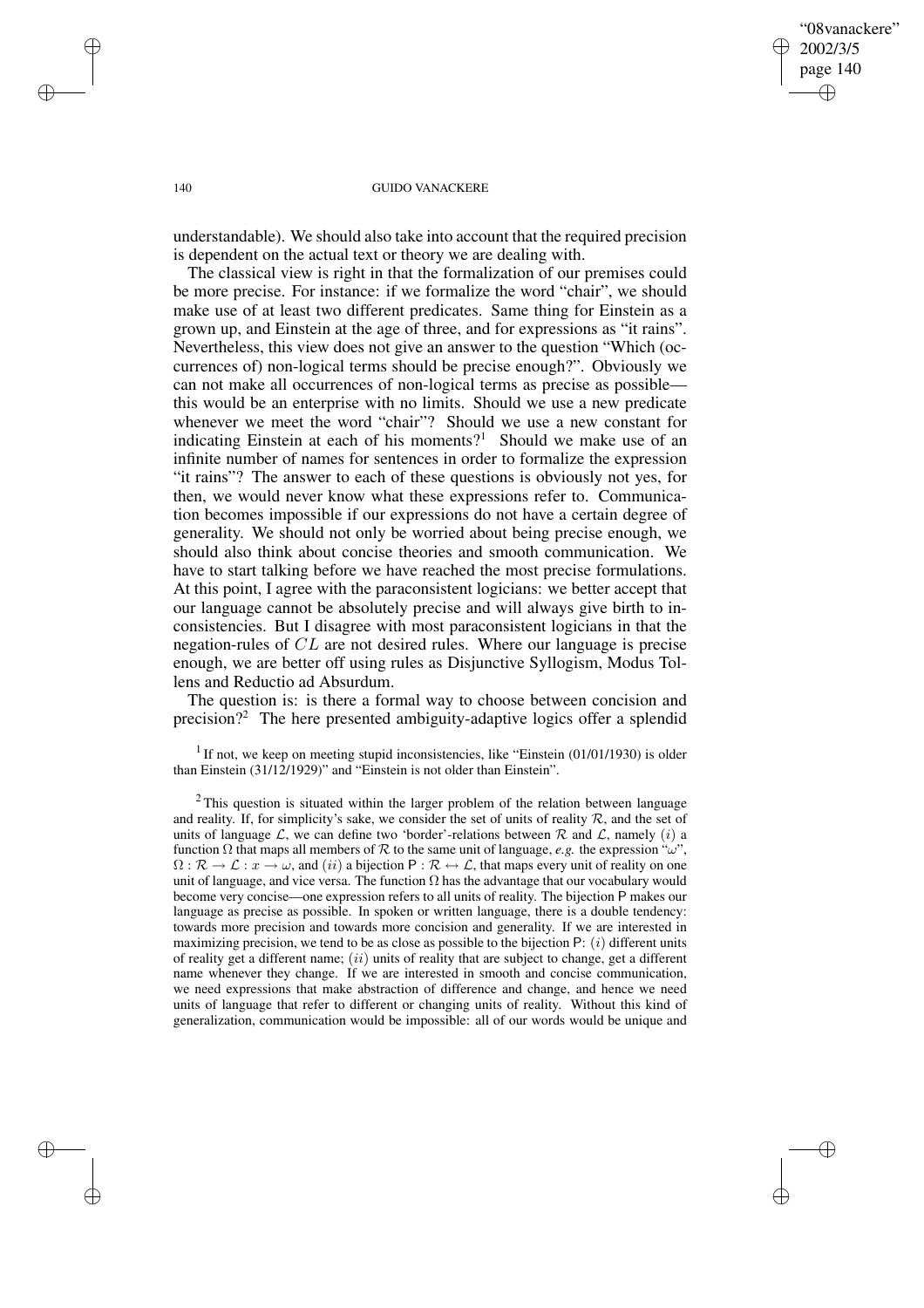## "08vanackere" 2002/3/5 page 140 ✐ ✐

✐

✐

### 140 GUIDO VANACKERE

understandable). We should also take into account that the required precision is dependent on the actual text or theory we are dealing with.

The classical view is right in that the formalization of our premises could be more precise. For instance: if we formalize the word "chair", we should make use of at least two different predicates. Same thing for Einstein as a grown up, and Einstein at the age of three, and for expressions as "it rains". Nevertheless, this view does not give an answer to the question "Which (occurrences of) non-logical terms should be precise enough?". Obviously we can not make all occurrences of non-logical terms as precise as possible this would be an enterprise with no limits. Should we use a new predicate whenever we meet the word "chair"? Should we use a new constant for indicating Einstein at each of his moments?<sup>1</sup> Should we make use of an infinite number of names for sentences in order to formalize the expression "it rains"? The answer to each of these questions is obviously not yes, for then, we would never know what these expressions refer to. Communication becomes impossible if our expressions do not have a certain degree of generality. We should not only be worried about being precise enough, we should also think about concise theories and smooth communication. We have to start talking before we have reached the most precise formulations. At this point, I agree with the paraconsistent logicians: we better accept that our language cannot be absolutely precise and will always give birth to inconsistencies. But I disagree with most paraconsistent logicians in that the negation-rules of CL are not desired rules. Where our language is precise enough, we are better off using rules as Disjunctive Syllogism, Modus Tollens and Reductio ad Absurdum.

The question is: is there a formal way to choose between concision and precision?<sup>2</sup> The here presented ambiguity-adaptive logics offer a splendid

<sup>1</sup> If not, we keep on meeting stupid inconsistencies, like "Einstein  $(01/01/1930)$  is older than Einstein (31/12/1929)" and "Einstein is not older than Einstein".

 $2$ This question is situated within the larger problem of the relation between language and reality. If, for simplicity's sake, we consider the set of units of reality  $R$ , and the set of units of language  $\mathcal{L}$ , we can define two 'border'-relations between  $\mathcal{R}$  and  $\mathcal{L}$ , namely (i) a function  $\Omega$  that maps all members of  $\mathcal R$  to the same unit of language, *e.g.* the expression " $\omega$ ",  $\Omega : \mathcal{R} \to \mathcal{L} : x \to \omega$ , and  $(ii)$  a bijection  $P : \mathcal{R} \to \mathcal{L}$ , that maps every unit of reality on one unit of language, and vice versa. The function  $\Omega$  has the advantage that our vocabulary would become very concise—one expression refers to all units of reality. The bijection P makes our language as precise as possible. In spoken or written language, there is a double tendency: towards more precision and towards more concision and generality. If we are interested in maximizing precision, we tend to be as close as possible to the bijection  $P: (i)$  different units of reality get a different name;  $(ii)$  units of reality that are subject to change, get a different name whenever they change. If we are interested in smooth and concise communication, we need expressions that make abstraction of difference and change, and hence we need units of language that refer to different or changing units of reality. Without this kind of generalization, communication would be impossible: all of our words would be unique and

✐

✐

✐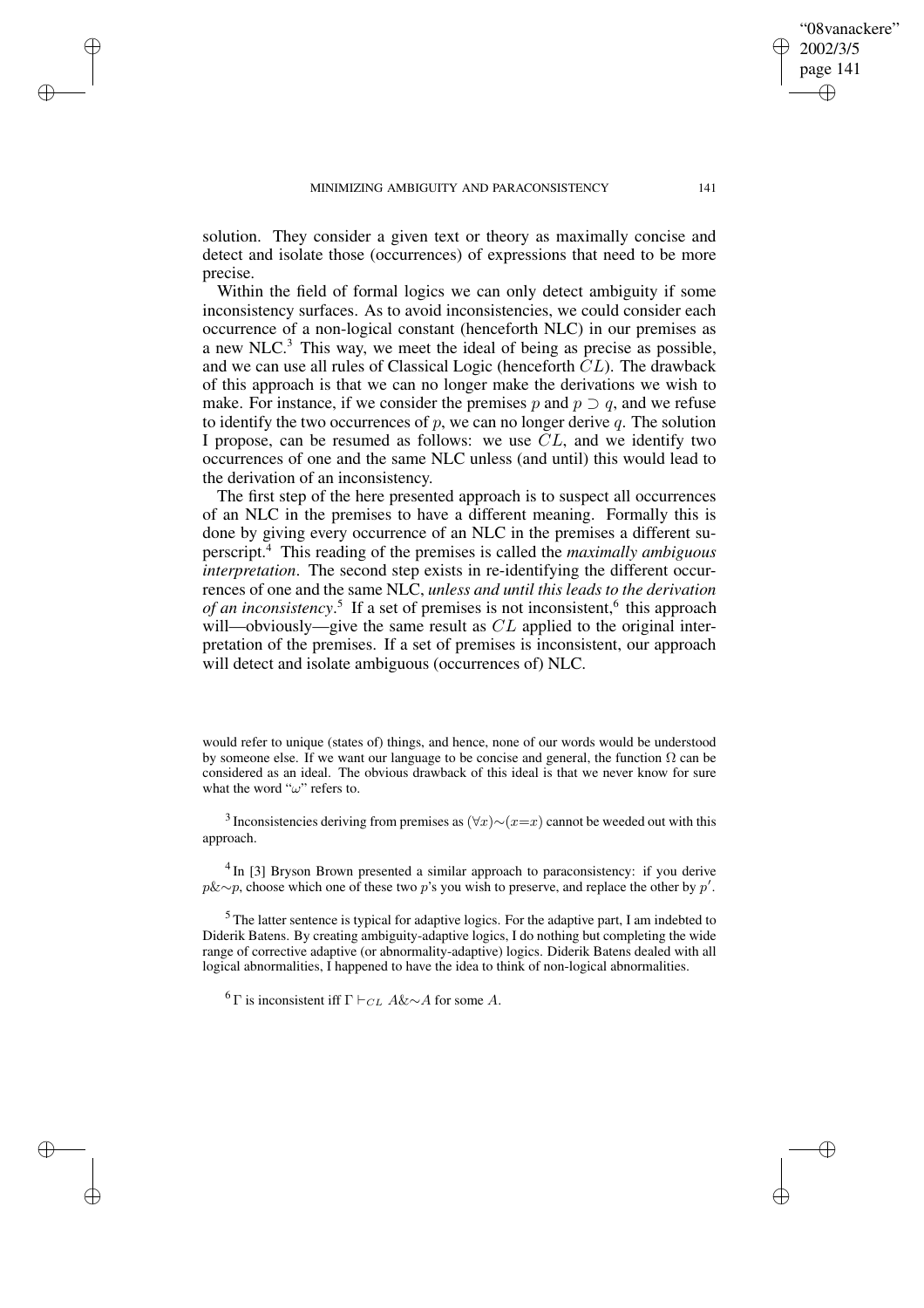### MINIMIZING AMBIGUITY AND PARACONSISTENCY 141

✐

✐

✐

✐

solution. They consider a given text or theory as maximally concise and detect and isolate those (occurrences) of expressions that need to be more precise.

Within the field of formal logics we can only detect ambiguity if some inconsistency surfaces. As to avoid inconsistencies, we could consider each occurrence of a non-logical constant (henceforth NLC) in our premises as a new NLC.<sup>3</sup> This way, we meet the ideal of being as precise as possible, and we can use all rules of Classical Logic (henceforth CL). The drawback of this approach is that we can no longer make the derivations we wish to make. For instance, if we consider the premises p and  $p \supset q$ , and we refuse to identify the two occurrences of  $p$ , we can no longer derive  $q$ . The solution I propose, can be resumed as follows: we use  $CL$ , and we identify two occurrences of one and the same NLC unless (and until) this would lead to the derivation of an inconsistency.

The first step of the here presented approach is to suspect all occurrences of an NLC in the premises to have a different meaning. Formally this is done by giving every occurrence of an NLC in the premises a different superscript.<sup>4</sup> This reading of the premises is called the *maximally ambiguous interpretation*. The second step exists in re-identifying the different occurrences of one and the same NLC, *unless and until this leads to the derivation* of an inconsistency.<sup>5</sup> If a set of premises is not inconsistent,<sup>6</sup> this approach will—obviously—give the same result as  $CL$  applied to the original interpretation of the premises. If a set of premises is inconsistent, our approach will detect and isolate ambiguous (occurrences of) NLC.

would refer to unique (states of) things, and hence, none of our words would be understood by someone else. If we want our language to be concise and general, the function  $\Omega$  can be considered as an ideal. The obvious drawback of this ideal is that we never know for sure what the word " $\omega$ " refers to.

<sup>3</sup> Inconsistencies deriving from premises as  $(\forall x) \sim (x=x)$  cannot be weeded out with this approach.

<sup>4</sup> In [3] Bryson Brown presented a similar approach to paraconsistency: if you derive  $p\&\sim p$ , choose which one of these two p's you wish to preserve, and replace the other by p'.

<sup>5</sup> The latter sentence is typical for adaptive logics. For the adaptive part, I am indebted to Diderik Batens. By creating ambiguity-adaptive logics, I do nothing but completing the wide range of corrective adaptive (or abnormality-adaptive) logics. Diderik Batens dealed with all logical abnormalities, I happened to have the idea to think of non-logical abnormalities.

<sup>6</sup> Γ is inconsistent iff  $\Gamma \vdash_{CL} A\&\sim A$  for some A.

"08vanackere"

2002/3/5 page 141

✐

✐

✐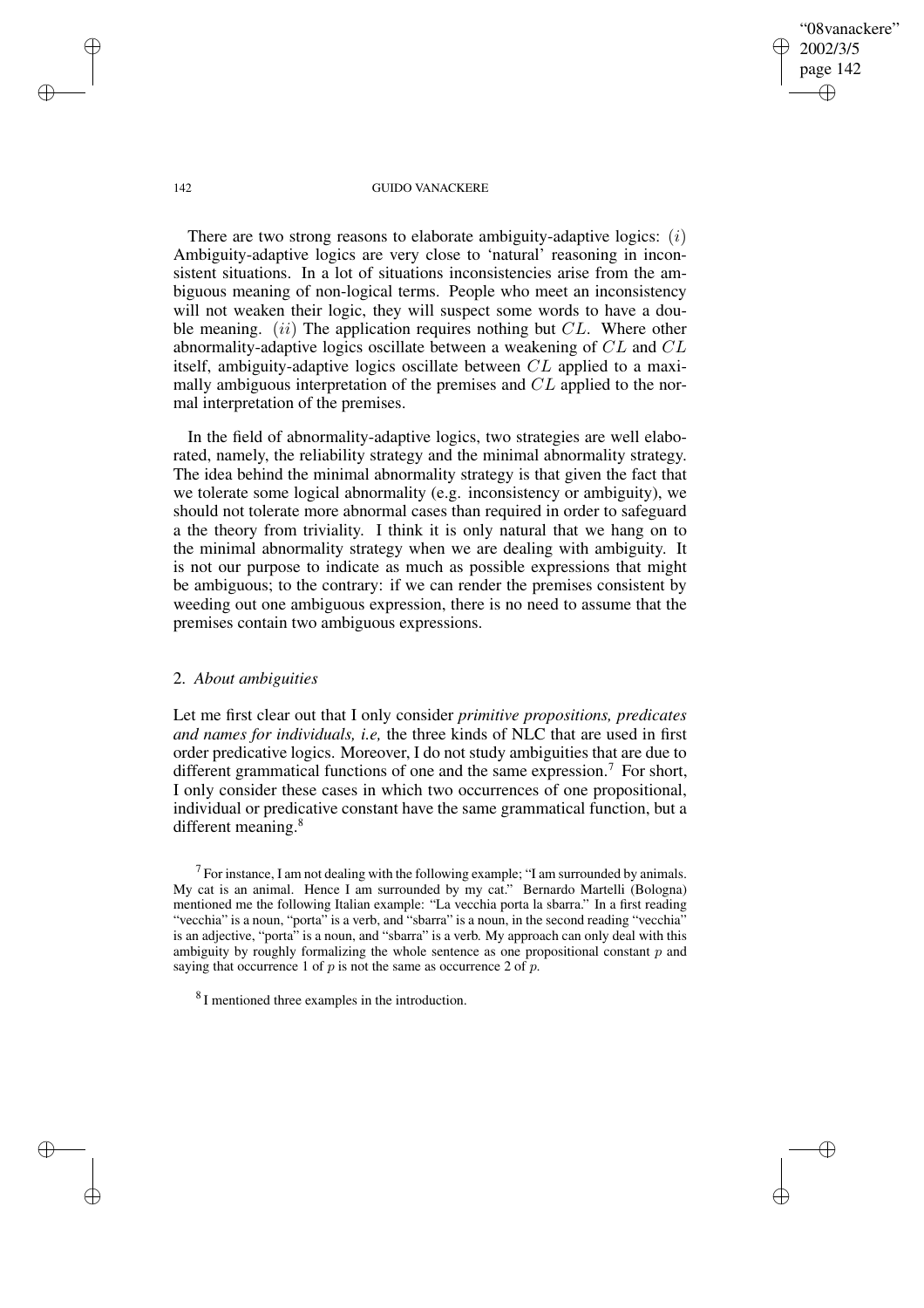"08vanackere" 2002/3/5 page 142 ✐ ✐

✐

✐

### 142 GUIDO VANACKERE

There are two strong reasons to elaborate ambiguity-adaptive logics:  $(i)$ Ambiguity-adaptive logics are very close to 'natural' reasoning in inconsistent situations. In a lot of situations inconsistencies arise from the ambiguous meaning of non-logical terms. People who meet an inconsistency will not weaken their logic, they will suspect some words to have a double meaning.  $(ii)$  The application requires nothing but  $CL$ . Where other abnormality-adaptive logics oscillate between a weakening of CL and CL itself, ambiguity-adaptive logics oscillate between CL applied to a maximally ambiguous interpretation of the premises and CL applied to the normal interpretation of the premises.

In the field of abnormality-adaptive logics, two strategies are well elaborated, namely, the reliability strategy and the minimal abnormality strategy. The idea behind the minimal abnormality strategy is that given the fact that we tolerate some logical abnormality (e.g. inconsistency or ambiguity), we should not tolerate more abnormal cases than required in order to safeguard a the theory from triviality. I think it is only natural that we hang on to the minimal abnormality strategy when we are dealing with ambiguity. It is not our purpose to indicate as much as possible expressions that might be ambiguous; to the contrary: if we can render the premises consistent by weeding out one ambiguous expression, there is no need to assume that the premises contain two ambiguous expressions.

## 2. *About ambiguities*

Let me first clear out that I only consider *primitive propositions, predicates and names for individuals, i.e,* the three kinds of NLC that are used in first order predicative logics. Moreover, I do not study ambiguities that are due to different grammatical functions of one and the same expression.<sup>7</sup> For short, I only consider these cases in which two occurrences of one propositional, individual or predicative constant have the same grammatical function, but a different meaning.<sup>8</sup>

 $<sup>7</sup>$  For instance, I am not dealing with the following example; "I am surrounded by animals.</sup> My cat is an animal. Hence I am surrounded by my cat." Bernardo Martelli (Bologna) mentioned me the following Italian example: "La vecchia porta la sbarra." In a first reading "vecchia" is a noun, "porta" is a verb, and "sbarra" is a noun, in the second reading "vecchia" is an adjective, "porta" is a noun, and "sbarra" is a verb. My approach can only deal with this ambiguity by roughly formalizing the whole sentence as one propositional constant  $p$  and saying that occurrence 1 of  $p$  is not the same as occurrence 2 of  $p$ .

✐

✐

✐

<sup>&</sup>lt;sup>8</sup> I mentioned three examples in the introduction.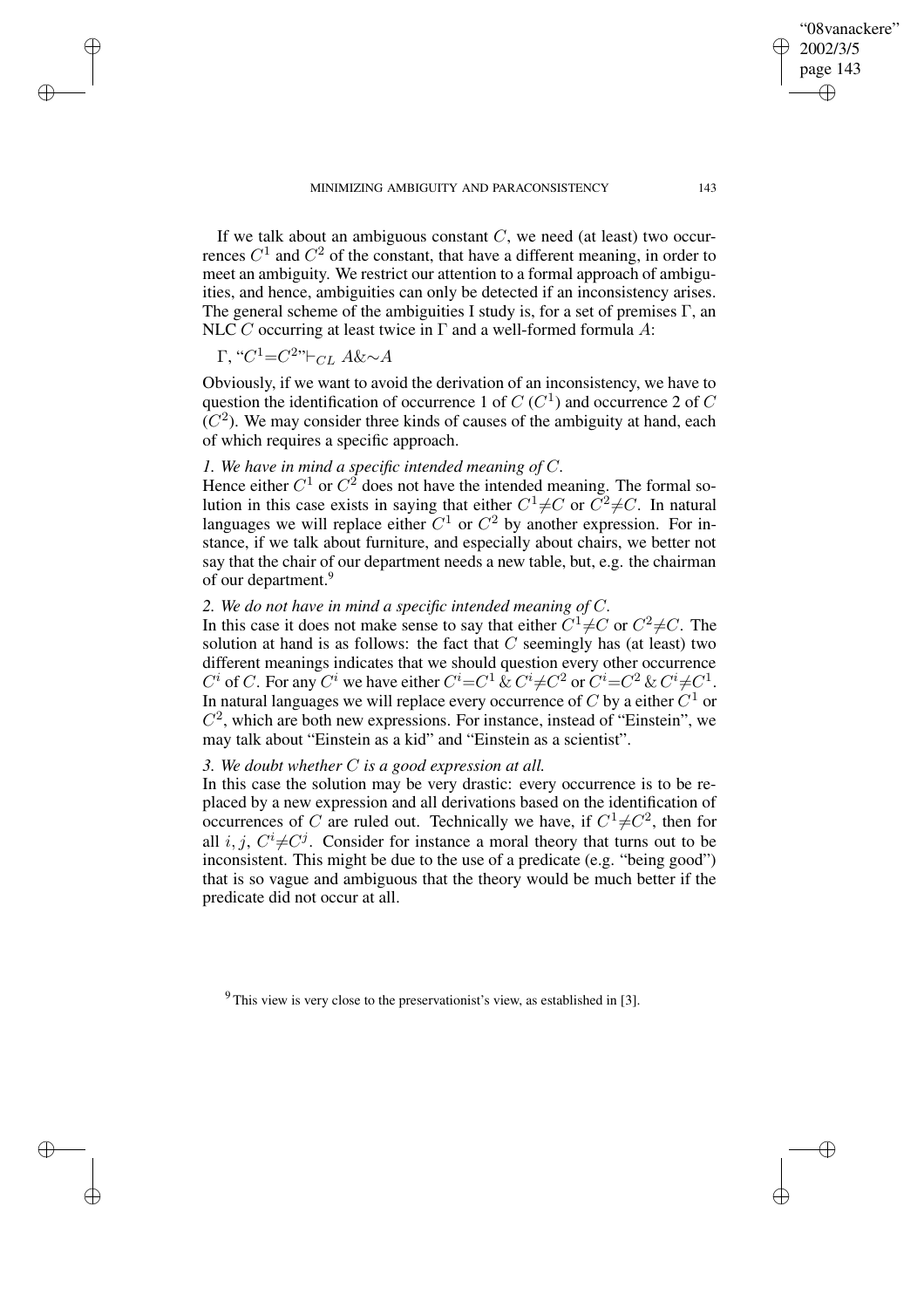✐

✐

"08vanackere" 2002/3/5

If we talk about an ambiguous constant  $C$ , we need (at least) two occurrences  $C^1$  and  $C^2$  of the constant, that have a different meaning, in order to meet an ambiguity. We restrict our attention to a formal approach of ambiguities, and hence, ambiguities can only be detected if an inconsistency arises. The general scheme of the ambiguities I study is, for a set of premises  $\Gamma$ , an NLC C occurring at least twice in  $\Gamma$  and a well-formed formula A:

$$
\Gamma, "C1=C2"\vdash_{CL} A\&\sim A
$$

✐

✐

✐

✐

Obviously, if we want to avoid the derivation of an inconsistency, we have to question the identification of occurrence 1 of  $C(C<sup>1</sup>)$  and occurrence 2 of  $C$  $(C<sup>2</sup>)$ . We may consider three kinds of causes of the ambiguity at hand, each of which requires a specific approach.

# *1. We have in mind a specific intended meaning of* C*.*

Hence either  $C^1$  or  $C^2$  does not have the intended meaning. The formal solution in this case exists in saying that either  $C^1 \neq C$  or  $C^2 \neq C$ . In natural languages we will replace either  $C^1$  or  $C^2$  by another expression. For instance, if we talk about furniture, and especially about chairs, we better not say that the chair of our department needs a new table, but, e.g. the chairman of our department.<sup>9</sup>

## *2. We do not have in mind a specific intended meaning of* C*.*

In this case it does not make sense to say that either  $C^1 \neq C$  or  $C^2 \neq C$ . The solution at hand is as follows: the fact that  $C$  seemingly has (at least) two different meanings indicates that we should question every other occurrence  $C^i$  of C. For any  $C^i$  we have either  $C^i = C^1 \& C^i \neq C^2$  or  $C^i = C^2 \& C^i \neq C^1$ . In natural languages we will replace every occurrence of  $C$  by a either  $C^1$  or  $C<sup>2</sup>$ , which are both new expressions. For instance, instead of "Einstein", we may talk about "Einstein as a kid" and "Einstein as a scientist".

# *3. We doubt whether* C *is a good expression at all.*

In this case the solution may be very drastic: every occurrence is to be replaced by a new expression and all derivations based on the identification of occurrences of C are ruled out. Technically we have, if  $C^1 \neq C^2$ , then for all i, j,  $C^i \neq C^j$ . Consider for instance a moral theory that turns out to be inconsistent. This might be due to the use of a predicate (e.g. "being good") that is so vague and ambiguous that the theory would be much better if the predicate did not occur at all.

 $9$  This view is very close to the preservationist's view, as established in [3].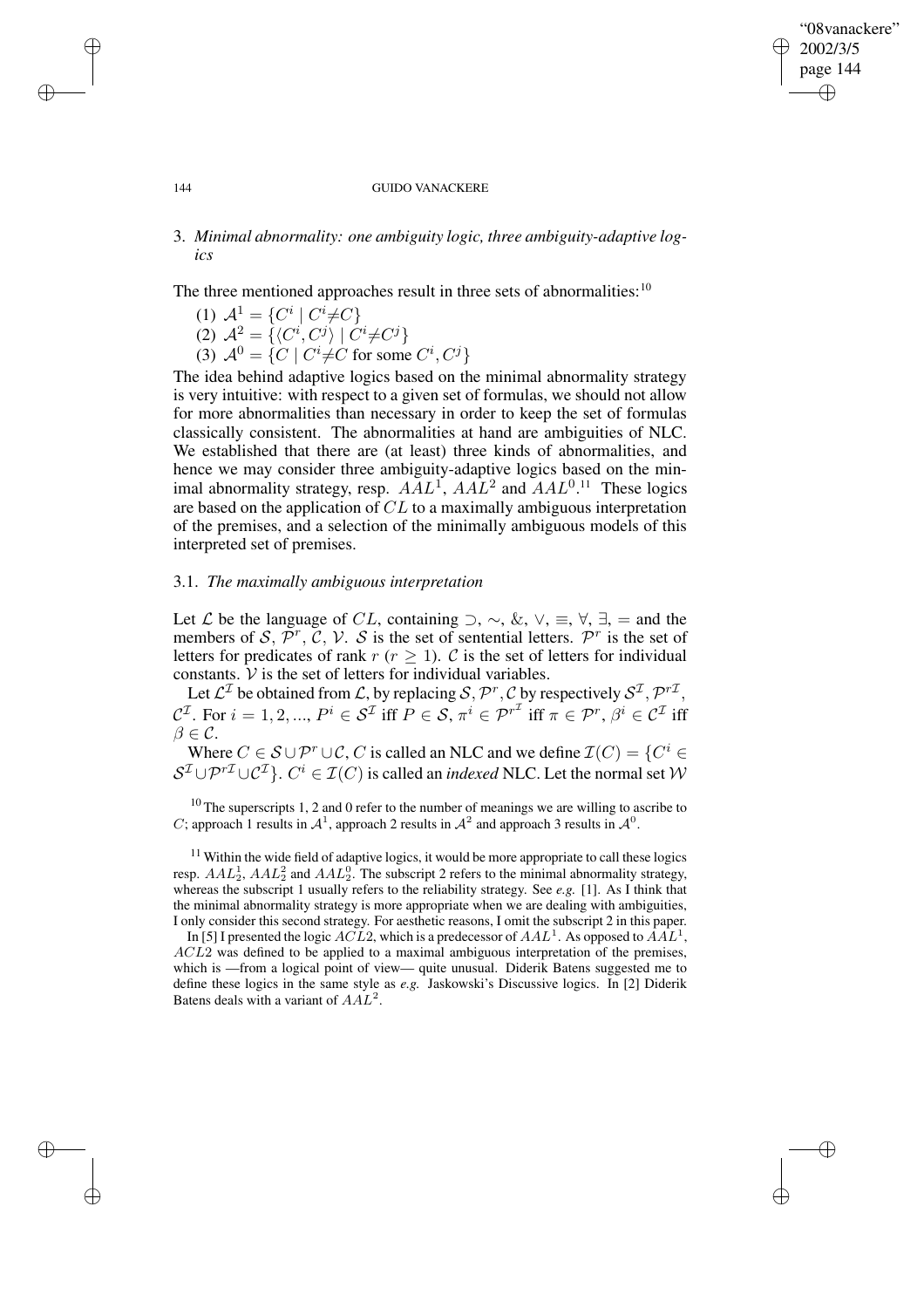## "08vanackere" 2002/3/5 page 144 ✐ ✐

✐

✐

### 144 GUIDO VANACKERE

# 3. *Minimal abnormality: one ambiguity logic, three ambiguity-adaptive logics*

The three mentioned approaches result in three sets of abnormalities:  $10$ 

(1)  $A^1 = \{C^i | C^i \neq C\}$ (2)  $\mathcal{A}^2 = \{ \langle C^i, C^j \rangle \mid C^i \neq C^j \}$ (3)  $\mathcal{A}^0 = \{ C \mid C^i \neq C \text{ for some } C^i, C^j \}$ 

✐

✐

✐

✐

The idea behind adaptive logics based on the minimal abnormality strategy is very intuitive: with respect to a given set of formulas, we should not allow for more abnormalities than necessary in order to keep the set of formulas classically consistent. The abnormalities at hand are ambiguities of NLC. We established that there are (at least) three kinds of abnormalities, and hence we may consider three ambiguity-adaptive logics based on the minimal abnormality strategy, resp.  $AAL<sup>1</sup>$ ,  $AAL<sup>2</sup>$  and  $AAL<sup>0,11</sup>$  These logics are based on the application of  $CL$  to a maximally ambiguous interpretation of the premises, and a selection of the minimally ambiguous models of this interpreted set of premises.

## 3.1. *The maximally ambiguous interpretation*

Let  $\mathcal L$  be the language of CL, containing  $\supset$ ,  $\sim$ ,  $\&$ ,  $\vee$ ,  $\equiv$ ,  $\forall$ ,  $\exists$ , = and the members of S,  $\overline{p}^r$ ,  $\overline{C}$ ,  $\overline{V}$ . S is the set of sentential letters.  $\overline{p}^r$  is the set of letters for predicates of rank  $r (r \ge 1)$ . C is the set of letters for individual constants.  $V$  is the set of letters for individual variables.

Let  $\mathcal{L}^{\mathcal{I}}$  be obtained from  $\mathcal{L}$ , by replacing  $\mathcal{S}, \mathcal{P}^r, \mathcal{C}$  by respectively  $\mathcal{S}^{\mathcal{I}}, \mathcal{P}^{r\mathcal{I}},$  $C^{\mathcal{I}}$ . For  $i = 1, 2, ..., P^i \in S^{\mathcal{I}}$  iff  $P \in S$ ,  $\pi^i \in \mathcal{P}^{r^{\mathcal{I}}}$  iff  $\pi \in \mathcal{P}^r$ ,  $\beta^i \in C^{\mathcal{I}}$  iff  $\beta \in \mathcal{C}$ .

Where  $C \in \mathcal{S} \cup \mathcal{P}^r \cup \mathcal{C}$ , C is called an NLC and we define  $\mathcal{I}(C) = \{C^i \in \mathcal{C} \mid C \in \mathcal{C} \}$  $S^{\mathcal{I}} \cup \mathcal{P}^{r\mathcal{I}} \cup \mathcal{C}^{\mathcal{I}}$ .  $C^i \in \mathcal{I}(C)$  is called an *indexed* NLC. Let the normal set W

 $10$  The superscripts 1, 2 and 0 refer to the number of meanings we are willing to ascribe to C; approach 1 results in  $\mathcal{A}^1$ , approach 2 results in  $\mathcal{A}^2$  and approach 3 results in  $\mathcal{A}^0$ .

 $11$  Within the wide field of adaptive logics, it would be more appropriate to call these logics resp.  $AAL_2^1$ ,  $AAL_2^2$  and  $AAL_2^0$ . The subscript 2 refers to the minimal abnormality strategy, whereas the subscript 1 usually refers to the reliability strategy. See *e.g.* [1]. As I think that the minimal abnormality strategy is more appropriate when we are dealing with ambiguities, I only consider this second strategy. For aesthetic reasons, I omit the subscript 2 in this paper.

In [5] I presented the logic  $\widehat{ACL2}$ , which is a predecessor of  $AAL^1$ . As opposed to  $\widehat{AAL}^1$ , ACL2 was defined to be applied to a maximal ambiguous interpretation of the premises, which is —from a logical point of view— quite unusual. Diderik Batens suggested me to define these logics in the same style as *e.g.* Jaskowski's Discussive logics. In [2] Diderik Batens deals with a variant of  $AAL^2$ .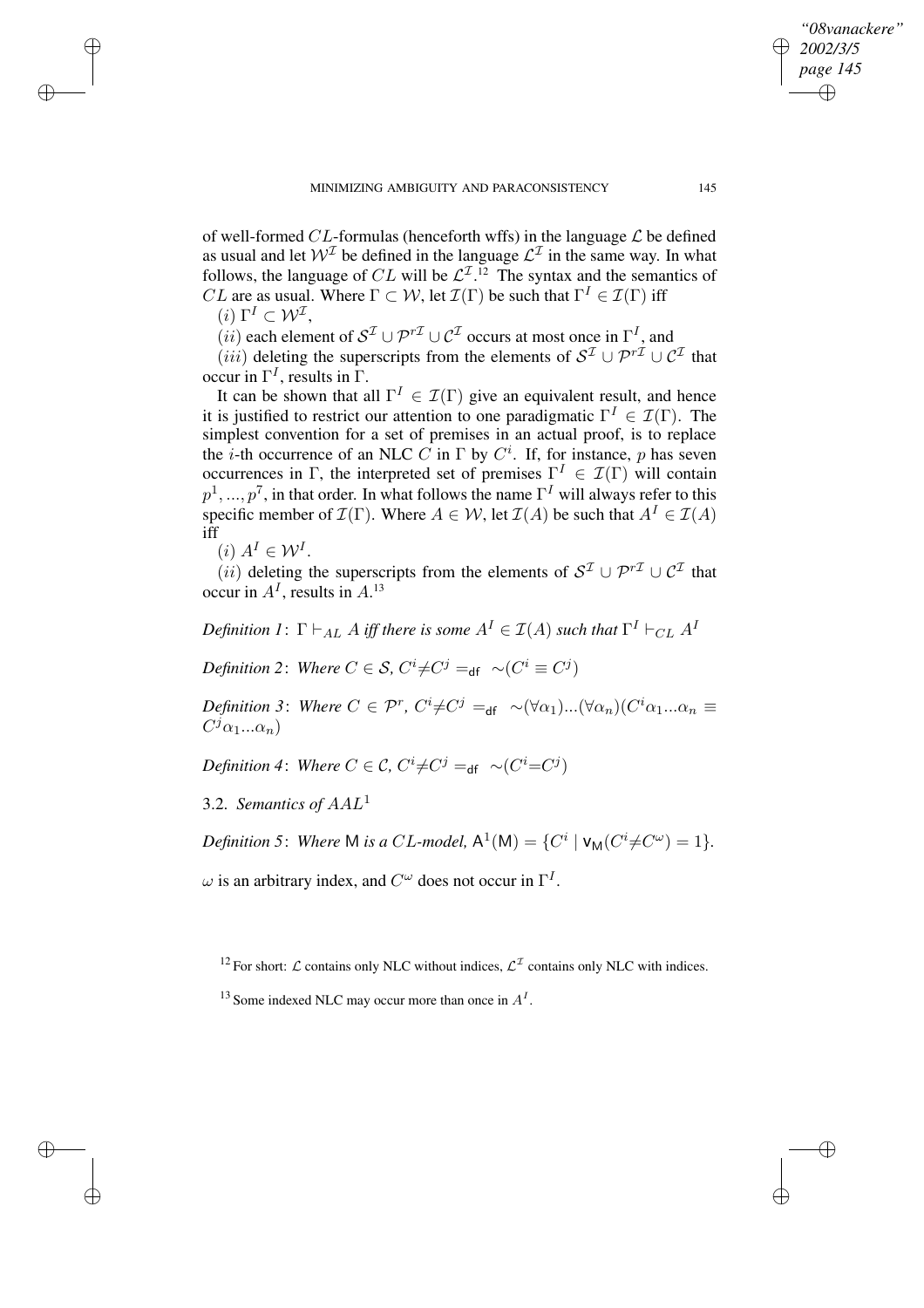of well-formed CL-formulas (henceforth wffs) in the language  $\mathcal L$  be defined as usual and let  $W^{\mathcal{I}}$  be defined in the language  $\mathcal{L}^{\mathcal{I}}$  in the same way. In what follows, the language of CL will be  $\mathcal{L}^{\mathcal{I},12}$  The syntax and the semantics of *CL* are as usual. Where  $\Gamma \subset \mathcal{W}$ , let  $\mathcal{I}(\Gamma)$  be such that  $\Gamma^I \in \mathcal{I}(\Gamma)$  iff

(*i*)  $\Gamma^I \subset \mathcal{W}^{\mathcal{I}},$ 

✐

✐

✐

✐

 $(iii)$  each element of  $S^{\mathcal{I}} \cup \mathcal{P}^{r\mathcal{I}} \cup \mathcal{C}^{\mathcal{I}}$  occurs at most once in  $\Gamma^{I}$ , and

 $(iii)$  deleting the superscripts from the elements of  $S^{\mathcal{I}} \cup \mathcal{P}^{r\mathcal{I}} \cup \mathcal{C}^{\mathcal{I}}$  that occur in  $\Gamma^I$ , results in  $\Gamma$ .

It can be shown that all  $\Gamma^I \in \mathcal{I}(\Gamma)$  give an equivalent result, and hence it is justified to restrict our attention to one paradigmatic  $\Gamma^I \in \mathcal{I}(\Gamma)$ . The simplest convention for a set of premises in an actual proof, is to replace the *i*-th occurrence of an NLC C in  $\Gamma$  by  $C^i$ . If, for instance, p has seven occurrences in Γ, the interpreted set of premises  $\Gamma^I \in \mathcal{I}(\Gamma)$  will contain  $p^1, ..., p^7$ , in that order. In what follows the name  $\Gamma^I$  will always refer to this specific member of  $\mathcal{I}(\Gamma)$ . Where  $A \in \mathcal{W}$ , let  $\mathcal{I}(A)$  be such that  $A^I \in \mathcal{I}(A)$ iff

 $(i) A<sup>I</sup> \in \mathcal{W}<sup>I</sup>.$ 

 $(iii)$  deleting the superscripts from the elements of  $S^{\mathcal{I}} \cup \mathcal{P}^{r\mathcal{I}} \cup \mathcal{C}^{\mathcal{I}}$  that occur in  $A<sup>I</sup>$ , results in  $A<sup>13</sup>$ 

Definition 1:  $\Gamma \vdash_{AL} A$  iff there is some  $A^I \in \mathcal{I}(A)$  such that  $\Gamma^I \vdash_{CL} A^I$ 

*Definition* 2: *Where*  $C \in \mathcal{S}$ ,  $C^i \neq C^j =_{df} \sim (C^i \equiv C^j)$ 

*Definition* 3: *Where*  $C \in \mathcal{P}^r$ ,  $C^i \neq C^j =_{df} \sim (\forall \alpha_1) ... (\forall \alpha_n) (C^i \alpha_1 ... \alpha_n)$  $C^j\alpha_1...\alpha_n$ )

Definition 4: Where  $C \in \mathcal{C}$ ,  $C^i \neq C^j =_{\mathsf{df}} \sim (C^i = C^j)$ 

3.2. *Semantics of* AAL<sup>1</sup>

*Definition* 5: *Where* M *is a* CL-model,  $A^1(M) = \{C^i \mid V_M(C^i \neq C^{\omega}) = 1\}.$ 

 $\omega$  is an arbitrary index, and  $C^{\omega}$  does not occur in  $\Gamma^{I}$ .

<sup>12</sup> For short:  $\mathcal L$  contains only NLC without indices,  $\mathcal L^{\mathcal I}$  contains only NLC with indices.

<sup>13</sup> Some indexed NLC may occur more than once in  $A<sup>I</sup>$ .

*"08vanackere" 2002/3/5 page 145*

✐

✐

✐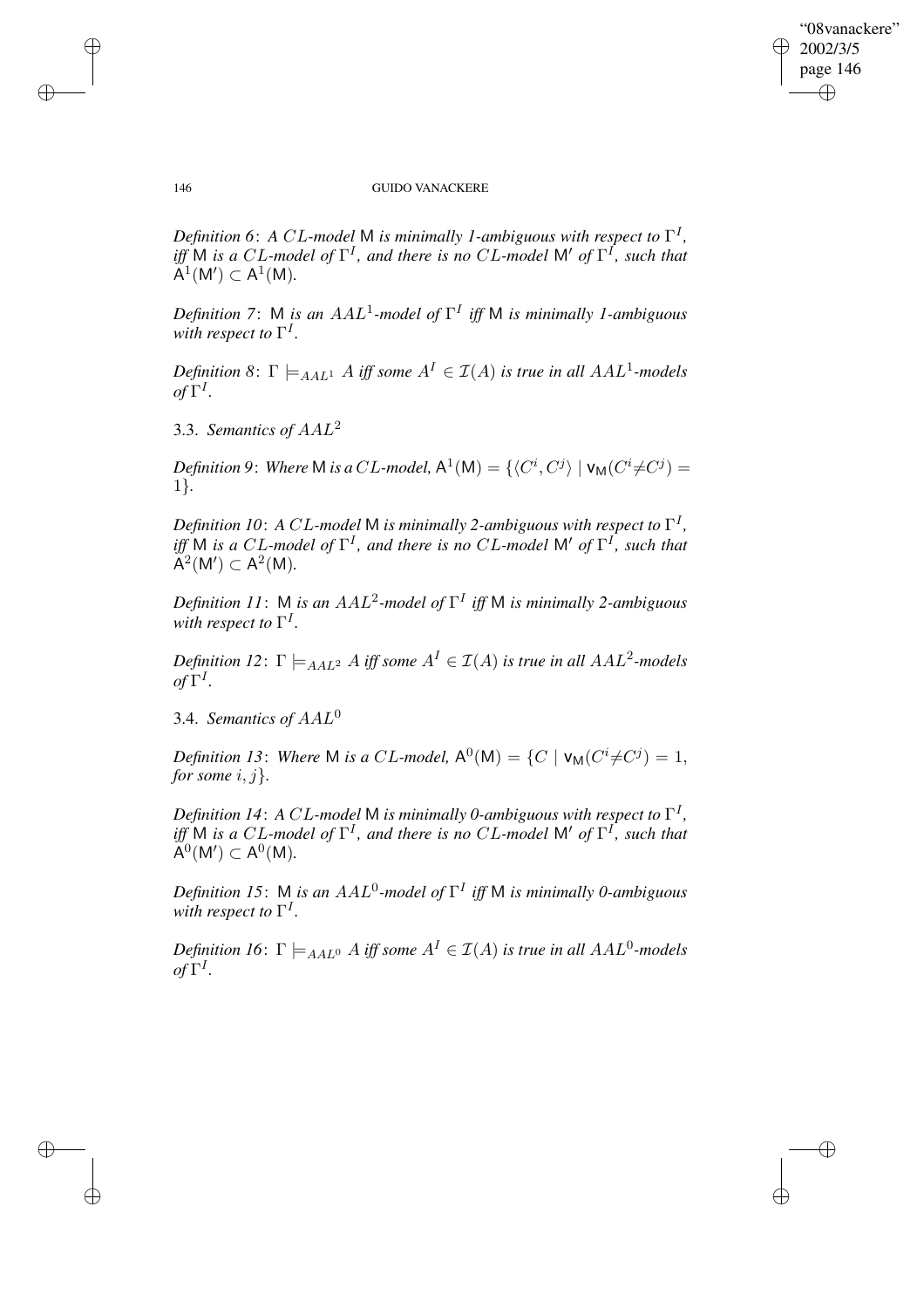$\bigoplus$ 

✐

### 146 GUIDO VANACKERE

*Definition 6*: *A* CL*-model* M *is minimally 1-ambiguous with respect to* Γ I *,*  $\int$ *iff* M *is a* CL-model of  $\Gamma$ <sup>*I*</sup>, and there is no CL-model M' of  $\Gamma$ <sup>*I*</sup>, such that  $A^{1}(M') \subset A^{1}(M)$ .

*Definition 7*: M *is an* AAL<sup>1</sup> *-model of* Γ I *iff* M *is minimally 1-ambiguous* with respect to  $\Gamma^I$ .

*Definition* 8:  $\Gamma \models_{AAL^1} A$  *iff some*  $A^I \in \mathcal{I}(A)$  *is true in all*  $AAL^1$ -models  $of \Gamma^I$ .

3.3. *Semantics of* AAL<sup>2</sup>

*Definition* 9: Where M *is a CL-model*,  $\mathsf{A}^1(\mathsf{M}) = \{ \langle C^i, C^j \rangle \mid \mathsf{V}_{\mathsf{M}}(C^i \neq C^j) = \}$ 1}*.*

*Definition 10*: *A* CL*-model* M *is minimally 2-ambiguous with respect to* Γ I *,*  $\int$ *iff* M *is a* CL-model of  $\Gamma$ <sup>*I*</sup>, and there is no CL-model M' of  $\Gamma$ <sup>*I*</sup>, such that  $\overset{\circ}{A}^2(M') \subset A^2(M).$ 

*Definition 11*: M *is an* AAL<sup>2</sup> *-model of* Γ I *iff* M *is minimally 2-ambiguous* with respect to  $\Gamma^I$ .

 $Definition$   $12$ :  $\Gamma \models_{AAL^2} A$  *iff some*  $A^I \in \mathcal{I}(A)$  *is true in all*  $AAL^2$ -models  $of \Gamma^I$ .

3.4. *Semantics of* AAL<sup>0</sup>

*Definition* 13: Where M is a CL-model,  $A^0(M) = \{C \mid V_M(C^i \neq C^j) = 1,$ *for some*  $i, j$ *}*.

*Definition 14*: *A* CL*-model* M *is minimally 0-ambiguous with respect to* Γ I *,*  $\int$ *iff* M *is a* CL-model of  $\Gamma$ <sup>*I*</sup>, and there is no CL-model M' of  $\Gamma$ <sup>*I*</sup>, such that  $\overset{\circ}{\mathsf{A}}^{0}(\mathsf{M}') \subset \mathsf{A}^{0}(\mathsf{M}).$ 

*Definition 15*: M *is an* AAL<sup>0</sup> *-model of* Γ I *iff* M *is minimally 0-ambiguous* with respect to  $\Gamma^I$ .

*Definition 16*:  $\Gamma \models_{AAL^0} A$  *iff some*  $A^I \in \mathcal{I}(A)$  *is true in all*  $AAL^0$ -models  $of \Gamma^I$ .

✐

✐

✐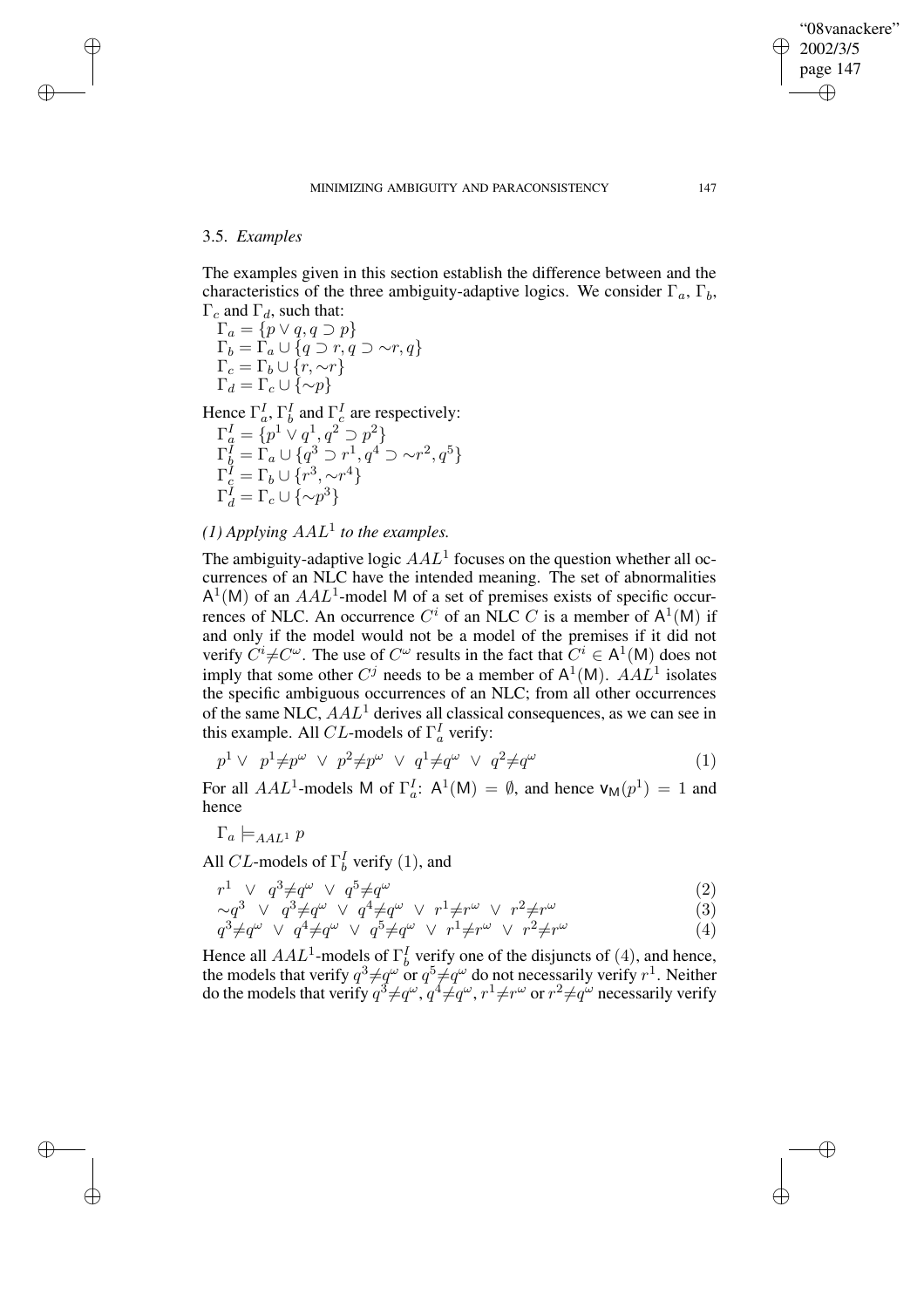✐

## 3.5. *Examples*

✐

✐

✐

✐

The examples given in this section establish the difference between and the characteristics of the three ambiguity-adaptive logics. We consider  $\Gamma_a$ ,  $\Gamma_b$ ,  $\Gamma_c$  and  $\Gamma_d$ , such that:

 $\Gamma_a = \{p \lor q, q \supset p\}$  $\Gamma_b = \Gamma_a \cup \{q \supset r, q \supset \sim r, q\}$  $\Gamma_c = \Gamma_b \cup \{r, \sim r\}$  $\Gamma_d = \Gamma_c \cup \{\sim p\}$ Hence  $\Gamma_a^I$ ,  $\Gamma_b^I$  and  $\Gamma_c^I$  are respectively:  $\Gamma^I_q = \{p^1 \vee q^1, q^2 \supset p^2\}$ 

$$
\begin{array}{l}\n\Gamma_a = \{p \lor q', q \cup p'\} \\
\Gamma_b^I = \Gamma_a \cup \{q^3 \supset r^1, q^4 \supset \sim r^2, q^5\} \\
\Gamma_c^I = \Gamma_b \cup \{r^3, \sim r^4\} \\
\Gamma_d^I = \Gamma_c \cup \{\sim p^3\}\n\end{array}
$$

 $(1)$  *Applying*  $AAL<sup>1</sup>$  *to the examples.* 

The ambiguity-adaptive logic  $AAL<sup>1</sup>$  focuses on the question whether all occurrences of an NLC have the intended meaning. The set of abnormalities  $A<sup>1</sup>(M)$  of an  $AAL<sup>1</sup>$ -model M of a set of premises exists of specific occurrences of NLC. An occurrence  $C^i$  of an NLC C is a member of  $A^1(M)$  if and only if the model would not be a model of the premises if it did not verify  $C^i \neq C^\omega$ . The use of  $C^\omega$  results in the fact that  $C^i \in A^1(M)$  does not imply that some other  $C^j$  needs to be a member of  $A^1(M)$ .  $A\overline{A}L^1$  isolates the specific ambiguous occurrences of an NLC; from all other occurrences of the same NLC,  $AAL<sup>1</sup>$  derives all classical consequences, as we can see in this example. All *CL*-models of  $\Gamma_a^I$  verify:

$$
p^{1} \vee p^{1} \neq p^{\omega} \vee p^{2} \neq p^{\omega} \vee q^{1} \neq q^{\omega} \vee q^{2} \neq q^{\omega}
$$
 (1)

For all  $AAL^1$ -models M of  $\Gamma_a^I$ :  $A^1(M) = \emptyset$ , and hence  $V_M(p^1) = 1$  and hence

$$
\Gamma_a \models_{AAL^1} p
$$

All CL-models of  $\Gamma_b^I$  verify (1), and

$$
r^1 \quad \lor \quad q^3 \neq q^\omega \quad \lor \quad q^5 \neq q^\omega \tag{2}
$$

$$
\sim q^3 \vee q^3 \neq q^{\omega} \vee q^4 \neq q^{\omega} \vee r^1 \neq r^{\omega} \vee r^2 \neq r^{\omega} \tag{3}
$$

$$
q^{3} \neq q^{\omega} \vee q^{4} \neq q^{\omega} \vee q^{5} \neq q^{\omega} \vee r^{1} \neq r^{\omega} \vee r^{2} \neq r^{\omega}
$$
 (4)

Hence all  $AAL<sup>1</sup>$ -models of  $\Gamma_b^I$  verify one of the disjuncts of (4), and hence, the models that verify  $q^3 \neq q^\omega$  or  $q^5 \neq q^\omega$  do not necessarily verify  $r^1$ . Neither do the models that verify  $q^3 \neq q^\omega$ ,  $q^4 \neq q^\omega$ ,  $r^1 \neq r^\omega$  or  $r^2 \neq q^\omega$  necessarily verify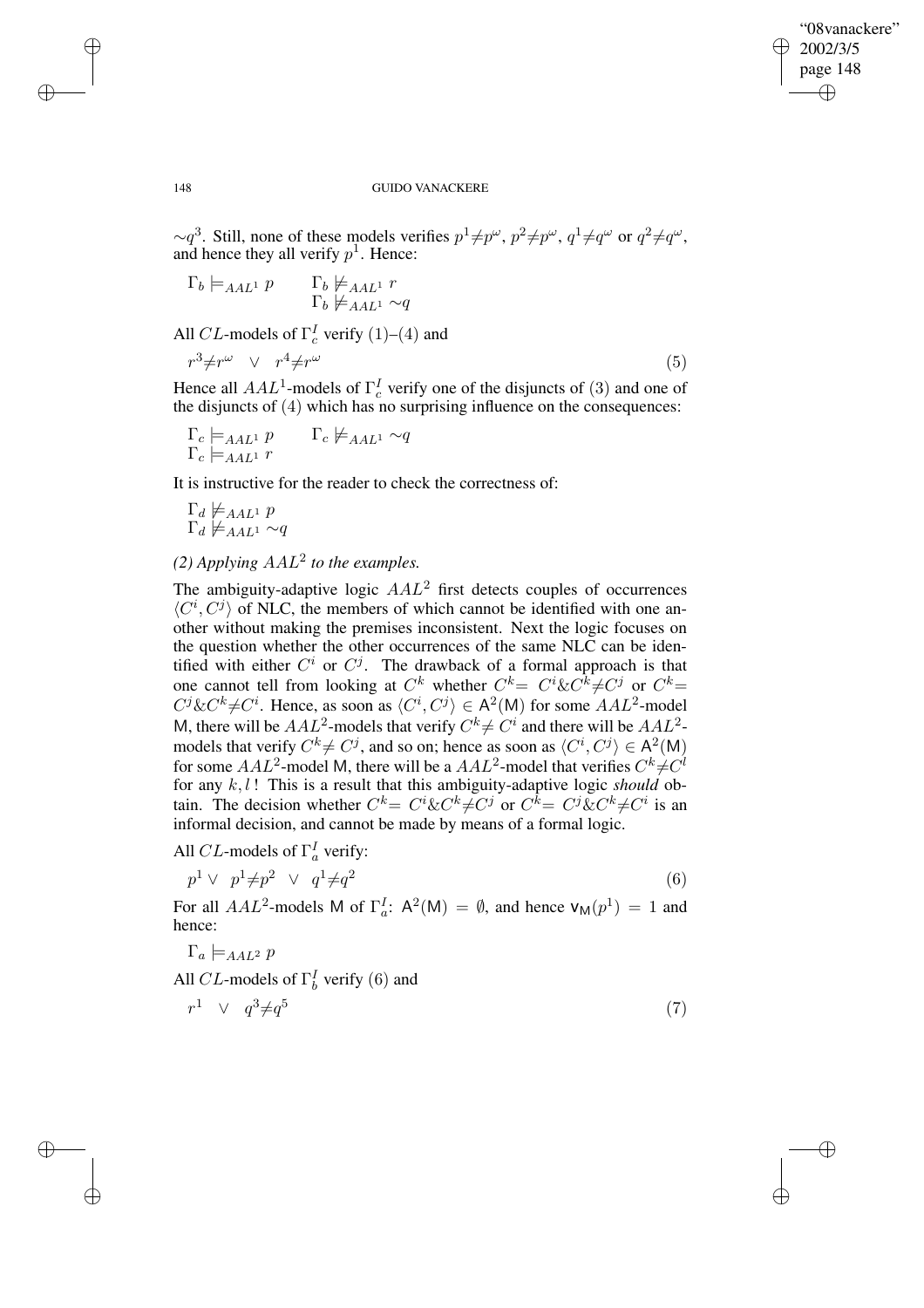✐

### 148 GUIDO VANACKERE

 $\sim q^3$ . Still, none of these models verifies  $p^1 \neq p^\omega$ ,  $p^2 \neq p^\omega$ ,  $q^1 \neq q^\omega$  or  $q^2 \neq q^\omega$ , and hence they all verify  $p<sup>1</sup>$ . Hence:

$$
\Gamma_b \models_{AAL^1} p \qquad \Gamma_b \not\models_{AAL^1} r
$$

$$
\Gamma_b \not\models_{AAL^1} \sim q
$$

All *CL*-models of  $\Gamma_c^I$  verify (1)–(4) and

$$
r^3 \neq r^\omega \quad \vee \quad r^4 \neq r^\omega \tag{5}
$$

Hence all  $AAL^1$ -models of  $\Gamma_c^I$  verify one of the disjuncts of (3) and one of the disjuncts of (4) which has no surprising influence on the consequences:

$$
\Gamma_c \models_{AAL^1} p \qquad \Gamma_c \not\models_{AAL^1} \sim q
$$
  

$$
\Gamma_c \models_{AAL^1} r
$$

It is instructive for the reader to check the correctness of:

$$
\Gamma_d \not\models_{AAL^1} p
$$
  

$$
\Gamma_d \not\models_{AAL^1} \sim q
$$

# $(2)$  *Applying*  $AAL<sup>2</sup>$  *to the examples.*

The ambiguity-adaptive logic  $AAL<sup>2</sup>$  first detects couples of occurrences  $\langle C^i, C^j \rangle$  of NLC, the members of which cannot be identified with one another without making the premises inconsistent. Next the logic focuses on the question whether the other occurrences of the same NLC can be identified with either  $C^i$  or  $C^j$ . The drawback of a formal approach is that one cannot tell from looking at  $C^k$  whether  $C^k = C^i \& C^k \neq C^j$  or  $C^k = C^k$  $C^{j}$ & $C^{k} \neq C^{i}$ . Hence, as soon as  $\langle C^{i}, C^{j} \rangle \in A^{2}(M)$  for some  $AAL^{2}$ -model M, there will be  $AAL^2$ -models that verify  $C^k \neq C^i$  and there will be  $AAL^2$ models that verify  $C^k \neq C^j$ , and so on; hence as soon as  $\langle C^i, C^j \rangle \in A^2(M)$ for some  $AAL^2$ -model M, there will be a  $AAL^2$ -model that verifies  $C^k \neq C^l$ for any  $k, l$ ! This is a result that this ambiguity-adaptive logic *should* obtain. The decision whether  $C^k = C^i \& C^k \neq C^j$  or  $C^k = C^j \& C^k \neq C^i$  is an informal decision, and cannot be made by means of a formal logic.

All *CL*-models of  $\Gamma_a^I$  verify:

$$
p^1 \vee p^1 \neq p^2 \vee q^1 \neq q^2 \tag{6}
$$

For all  $AAL^2$ -models M of  $\Gamma_a^I$ :  $A^2(M) = \emptyset$ , and hence  $V_M(p^1) = 1$  and hence:

$$
\Gamma_a \models_{AAL^2} p
$$

All CL-models of  $\Gamma_b^I$  verify (6) and

$$
r^1 \quad \vee \quad q^3 \neq q^5 \tag{7}
$$

✐

✐

✐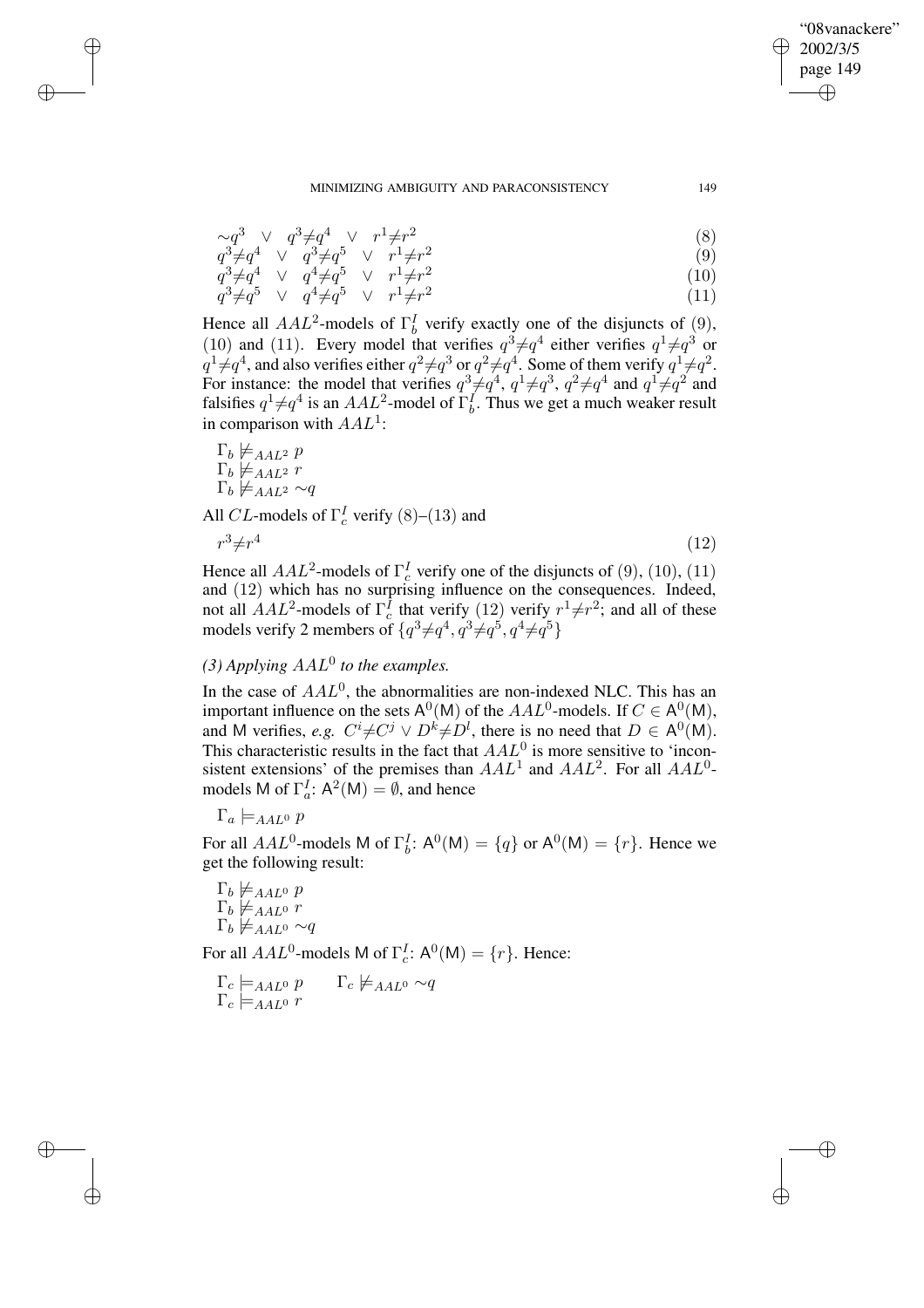✐

#### MINIMIZING AMBIGUITY AND PARACONSISTENCY 149

$$
\sim q^3 \quad \vee \quad q^3 \neq q^4 \quad \vee \quad r^1 \neq r^2 \tag{8}
$$

$$
q^3 \neq q^4 \quad \vee \quad q^3 \neq q^5 \quad \vee \quad r^1 \neq r^2 \tag{9}
$$

$$
q^{3} \neq q^{4} \quad \vee \quad q^{4} \neq q^{5} \quad \vee \quad r^{1} \neq r^{2} q^{3} \neq q^{5} \quad \vee \quad q^{4} \neq q^{5} \quad \vee \quad r^{1} \neq r^{2}
$$
 (10)

Hence all  $AAL^2$ -models of  $\Gamma_b^I$  verify exactly one of the disjuncts of (9), (10) and (11). Every model that verifies  $q^3 \neq q^4$  either verifies  $q^1 \neq q^3$  or  $q^1 \neq q^4$ , and also verifies either  $q^2 \neq q^3$  or  $q^2 \neq q^4$ . Some of them verify  $q^1 \neq q^2$ . For instance: the model that verifies  $q^3 \neq q^4$ ,  $q^1 \neq q^3$ ,  $q^2 \neq q^4$  and  $q^1 \neq q^2$  and falsifies  $q^1 \neq q^4$  is an  $AAL^2$ -model of  $\Gamma_b^I$ . Thus we get a much weaker result in comparison with  $AAL^1$ :

 $\Gamma_b \not\models_{AAL^2} p$  $\Gamma_b \not\models_{AAL^2} r$  $\Gamma_b \not\models_{AAL^2} \sim q$ 

✐

✐

✐

✐

All CL-models of  $\Gamma_c^I$  verify (8)–(13) and

$$
r^3 \neq r^4 \tag{12}
$$

Hence all  $AAL^2$ -models of  $\Gamma_c^I$  verify one of the disjuncts of (9), (10), (11) and (12) which has no surprising influence on the consequences. Indeed, not all  $AAL^2$ -models of  $\Gamma_c^I$  that verify (12) verify  $r^1 \neq r^2$ ; and all of these models verify 2 members of  $\{q^3 \neq q^4, q^3 \neq q^5, q^4 \neq q^5\}$ 

# $(3)$  *Applying*  $AAL^0$  *to the examples.*

In the case of  $AAL<sup>0</sup>$ , the abnormalities are non-indexed NLC. This has an important influence on the sets  $A^0(M)$  of the  $AAL^0$ -models. If  $C \in A^0(M)$ , and M verifies, *e.g.*  $C^i \neq C^j \vee D^k \neq D^l$ , there is no need that  $D \in A^0(M)$ . This characteristic results in the fact that  $AAL<sup>0</sup>$  is more sensitive to 'inconsistent extensions' of the premises than  $AAL^1$  and  $AAL^2$ . For all  $AAL^0$ models M of  $\Gamma_a^I$ :  $A^2(M) = \emptyset$ , and hence

 $\Gamma_a \models_{AAL^0} p$ 

For all  $AAL^0$ -models M of  $\Gamma_b^I$ :  $\mathsf{A}^0(\mathsf{M}) = \{q\}$  or  $\mathsf{A}^0(\mathsf{M}) = \{r\}$ . Hence we get the following result:

 $\Gamma_b \not\models_{AAL^0} p$  $\Gamma_b \not\models_{AAL^0} r$  $\Gamma_b \not\models_{AAL^0} \sim q$ 

For all  $AAL^0$ -models M of  $\Gamma_c^I$ :  $\mathsf{A}^0(\mathsf{M}) = \{r\}$ . Hence:

$$
\Gamma_c \models_{AAL^0} p \qquad \Gamma_c \not\models_{AAL^0} \sim q
$$
  

$$
\Gamma_c \models_{AAL^0} r
$$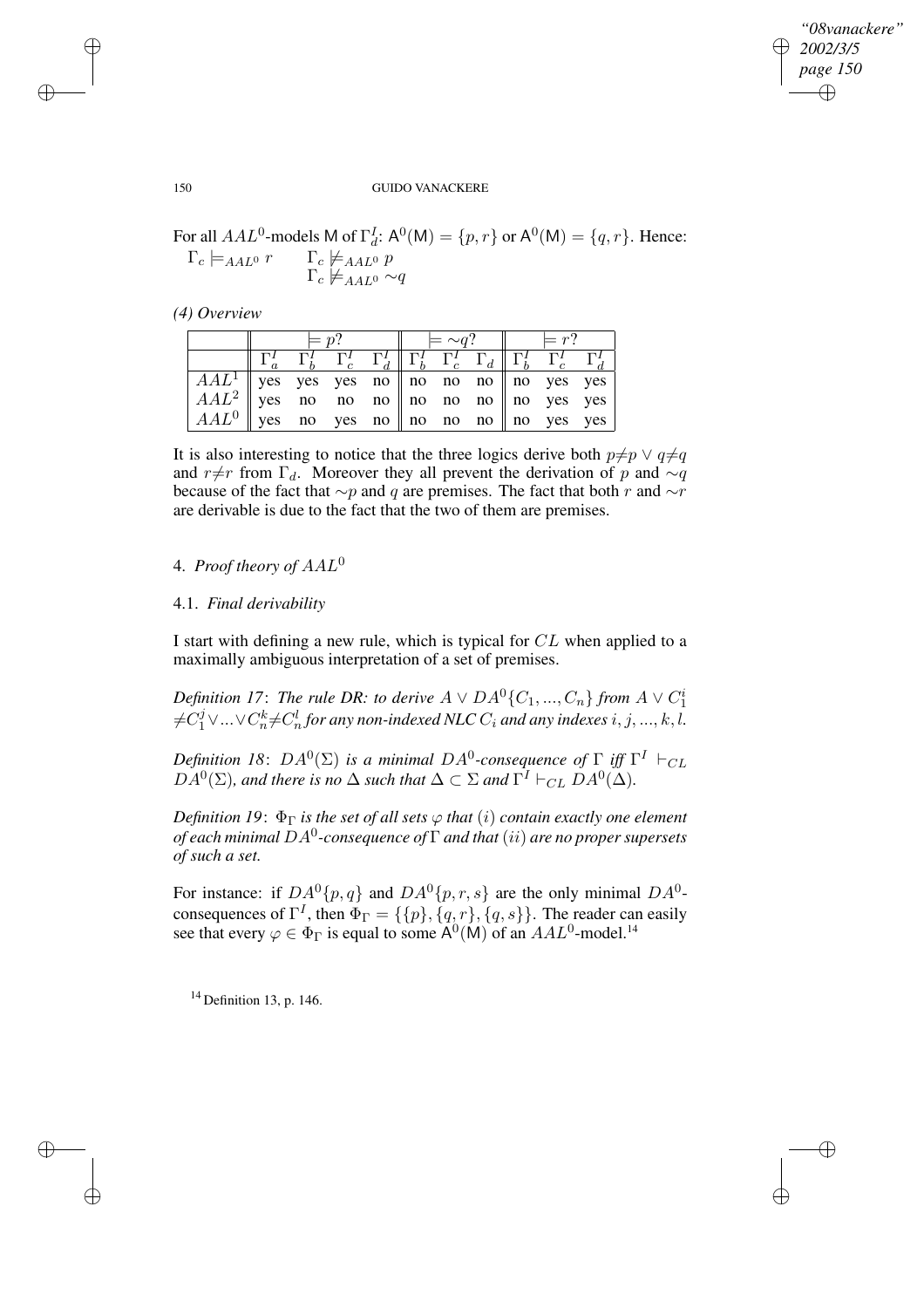✐

### 150 GUIDO VANACKERE

For all  $AAL^0$ -models M of  $\Gamma_d^L$ :  $\mathsf{A}^0(\mathsf{M}) = \{p, r\}$  or  $\mathsf{A}^0(\mathsf{M}) = \{q, r\}$ . Hence:  $\Gamma_c \models_{AAL^0} r$   $\Gamma_c \not\models_{AAL^0} p$ 

| . <i>.</i>                |          |
|---------------------------|----------|
| $\neq$ A A L <sup>0</sup> | $\sim a$ |
|                           |          |

*(4) Overview*

|                                                   | $= n$ ? |  |  |  | $= \sim a$ ? $\parallel$ $= r$ ? |  |  |  |                                                                                                                        |  |
|---------------------------------------------------|---------|--|--|--|----------------------------------|--|--|--|------------------------------------------------------------------------------------------------------------------------|--|
|                                                   |         |  |  |  |                                  |  |  |  | $\Gamma_b^I$ $\Gamma_c^I$ $\Gamma_d^I$ $\ \Gamma_b^I$ $\Gamma_c^I$ $\Gamma_d$ $\ \Gamma_b^I$ $\Gamma_c^I$ $\Gamma_d^I$ |  |
| $AAL1$   yes yes yes no    no no no    no yes yes |         |  |  |  |                                  |  |  |  |                                                                                                                        |  |
| $AAL^2$ yes no no no no no no no no no kes yes    |         |  |  |  |                                  |  |  |  |                                                                                                                        |  |
| $AAL^0$   yes no yes no    no no no    no yes yes |         |  |  |  |                                  |  |  |  |                                                                                                                        |  |

It is also interesting to notice that the three logics derive both  $p\neq p \lor q\neq q$ and r≠r from  $\Gamma_d$ . Moreover they all prevent the derivation of p and  $\sim q$ because of the fact that  $\sim p$  and q are premises. The fact that both r and  $\sim r$ are derivable is due to the fact that the two of them are premises.

# 4. *Proof theory of* AAL<sup>0</sup>

## 4.1. *Final derivability*

I start with defining a new rule, which is typical for CL when applied to a maximally ambiguous interpretation of a set of premises.

*Definition 17: The rule DR: to derive*  $A \vee DA^0$  {  $C_1, ..., C_n$  } *from*  $A \vee C_1^i$  $\neq$ C $_1^j$   $\vee$   $\ldots$   $\vee$  C $_n^k$   $\neq$  C $_n^l$  for any non-indexed NLC  $C_i$  and any indexes  $i, j, ..., k, l.$ 

 $D$ efinition 18:  $DA^0(\Sigma)$  is a minimal  $DA^0$ -consequence of  $\Gamma$  iff  $\Gamma^I$   $\vdash_{CL}$  $DA^0(\Sigma)$ *, and there is no*  $\Delta$  *such that*  $\Delta \subset \Sigma$  *and*  $\Gamma^I \vdash_{CL} DA^0(\Delta)$ *.* 

*Definition* 19:  $\Phi_{\Gamma}$  *is the set of all sets*  $\varphi$  *that* (*i*) *contain exactly one element of each minimal* DA<sup>0</sup> *-consequence of* Γ *and that* (ii) *are no proper supersets of such a set.*

For instance: if  $DA^0\{p,q\}$  and  $DA^0\{p,r,s\}$  are the only minimal  $DA^0$ consequences of  $\Gamma^I$ , then  $\Phi_{\Gamma} = \{ \{p\}, \{q, r\}, \{q, s\} \}$ . The reader can easily see that every  $\varphi \in \Phi_{\Gamma}$  is equal to some  $\mathsf{A}^0(\mathsf{M})$  of an  $AAL^0$ -model.<sup>14</sup>

 $14$  Definition 13, p. 146.

✐

✐

✐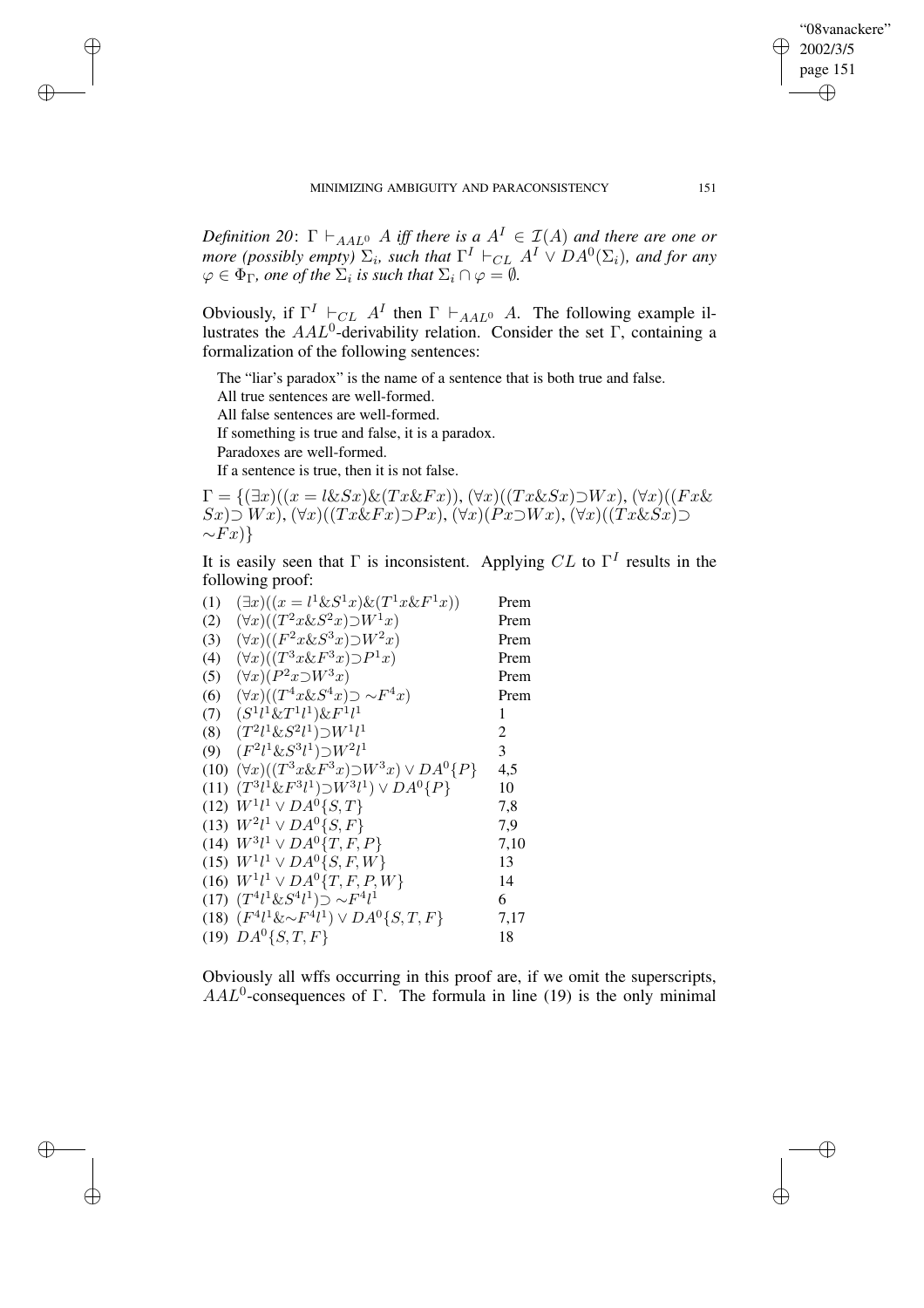*Definition* 20:  $\Gamma \vdash_{AAL^0} A$  *iff there is*  $a A^I \in I(A)$  *and there are one or more* (possibly empty)  $\Sigma_i$ , such that  $\Gamma^I \vdash_{CL} A^I \vee DA^0(\Sigma_i)$ , and for any  $\varphi \in \Phi_{\Gamma}$ , one of the  $\Sigma_i$  is such that  $\Sigma_i \cap \varphi = \emptyset$ .

Obviously, if  $\Gamma^I \vdash_{CL} A^I$  then  $\Gamma \vdash_{AAL^0} A$ . The following example illustrates the  $AAL^0$ -derivability relation. Consider the set  $\Gamma$ , containing a formalization of the following sentences:

The "liar's paradox" is the name of a sentence that is both true and false.

All true sentences are well-formed.

All false sentences are well-formed.

If something is true and false, it is a paradox.

Paradoxes are well-formed.

✐

✐

✐

✐

If a sentence is true, then it is not false.

 $\Gamma = \{(\exists x)((x = l\&Sx)\&(Tx\&Fx)), (\forall x)((Tx\&Sz)\cup Wx), (\forall x)((Fx\&$  $Sx)$  $\supset$   $Wx$ ),  $(\forall x)((Tx \& Fx) \supset Px)$ ,  $(\forall x)(Px \supset Wx)$ ,  $(\forall x)((Tx \& Sx) \supset Px)$  $\sim Fx$ )}

It is easily seen that  $\Gamma$  is inconsistent. Applying  $CL$  to  $\Gamma^I$  results in the following proof:

(1)  $(\exists x)((x = l^1 \& S^1 x) \& (T^1 x \& F^1 x))$  Prem (2)  $(\forall x)((T^2x\&S^2x)\supset W^1x)$  Prem (3)  $(\forall x)((F^2x\&S^3x)\supset W^2x)$  Prem (4)  $(\forall x)((T^3x \& F^3x) \supset P^1x)$  Prem (5)  $(\forall x)(P^2x \supset W^3x)$  Prem  $(6)$   $(\forall x)((T^4x\&S^4x) \supset \sim F$ <sup>4</sup>x) Prem  $(7)$   $(S^1 l^1 \& T^1 l^1) \& F^1 l$  $\frac{1}{1}$  1 (8)  $(T^2 l^1 \& S^2 l^1) \supset W^1 l$  $1$  2 (9)  $(F^2 l^1 \& S^3 l^1) \supset W^2 l$ <sup>1</sup> 3 (10)  $(\forall x)((T^3x\&F^3x)\supset W^3x)\vee DA^0\{P\}$  4,5 (11)  $(T^3 \ell^1 \& F^3 \ell^1) \supset W^3 \ell^1) \vee DA^0 \{P\}$  10 (12)  $W^{1}l^{1} \vee DA^{0} \{S,T\}$  7,8 (13)  $W^2 l^1 \vee DA^0 \{S, F\}$  7,9 (14)  $W^3 l^1 \vee DA^0 \{T, F, P\}$  7,10 (15)  $W^1 l^1 \vee DA^0 \{S, F, W\}$  13 (16)  $W^1 l^1 \vee DA^0 \{T, F, P, W\}$  14 (17)  $(T^4 l^1 \& S^4 l^1) \supset \sim F^4 l$  $\frac{1}{1}$  6 (18)  $(F^4 l^1 \& \sim F^4 l^1) \vee DA^0 \{S, T, F\}$  7,17 (19)  $DA^0\{S,T,F\}$  18

Obviously all wffs occurring in this proof are, if we omit the superscripts,  $AAL<sup>0</sup>$ -consequences of Γ. The formula in line (19) is the only minimal

"08vanackere" 2002/3/5 page 151

✐

✐

✐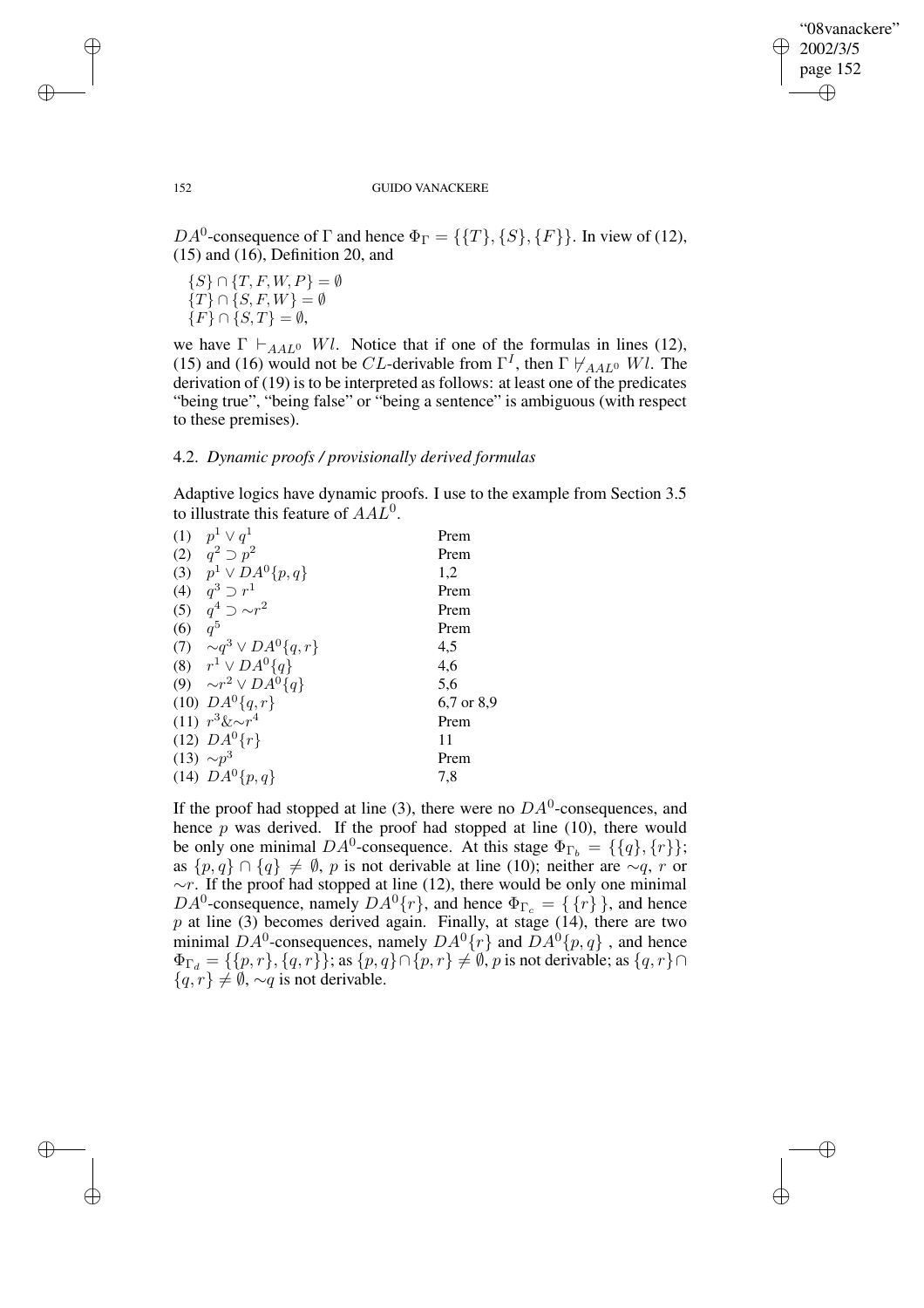✐

### 152 GUIDO VANACKERE

DA<sup>0</sup>-consequence of  $\Gamma$  and hence  $\Phi_{\Gamma} = {\{T\}, \{S\}, \{F\}\}\.$  In view of (12), (15) and (16), Definition 20, and

 $\{S\} \cap \{T, F, W, P\} = \emptyset$  $\{T\} \cap \{S, F, W\} = \emptyset$  ${F} \cap {S,T} = \emptyset,$ 

we have  $\Gamma \vdash_{A A L^0} Wl$ . Notice that if one of the formulas in lines (12), (15) and (16) would not be CL-derivable from  $\Gamma^I$ , then  $\Gamma \not\vdash_{AAL^0} Wl$ . The derivation of (19) is to be interpreted as follows: at least one of the predicates "being true", "being false" or "being a sentence" is ambiguous (with respect to these premises).

## 4.2. *Dynamic proofs / provisionally derived formulas*

Adaptive logics have dynamic proofs. I use to the example from Section 3.5 to illustrate this feature of  $AAL<sup>0</sup>$ .

|     | (1) $p^1 \vee q^1$               | Prem       |
|-----|----------------------------------|------------|
|     |                                  |            |
|     | (2) $q^2 \supset p^2$            | Prem       |
|     | (3) $p^1 \vee DA^0\{p,q\}$       | 1,2        |
|     | (4) $q^3 \supset r^1$            | Prem       |
|     | (5) $q^4 \supset \sim r^2$       | Prem       |
| (6) | $q^5$                            | Prem       |
|     | (7) $\sim q^3 \vee DA^0\{q,r\}$  | 4,5        |
|     | (8) $r^1 \vee DA^0\{q\}$         | 4,6        |
|     | (9) $\sim r^2 \vee DA^{0} \{q\}$ | 5,6        |
|     | $(10)$ $DA^{0}{q,r}$             | 6,7 or 8,9 |
|     | $(11) r^3 \& \sim r^4$           | Prem       |
|     | (12) $DA^{0}\{r\}$               | 11         |
|     | (13) $\sim p^3$                  | Prem       |
|     | (14) $DA^{0}{p,q}$               | 7,8        |
|     |                                  |            |

If the proof had stopped at line (3), there were no  $DA^0$ -consequences, and hence  $p$  was derived. If the proof had stopped at line (10), there would be only one minimal  $DA^0$ -consequence. At this stage  $\Phi_{\Gamma_b} = {\{q\}, \{r\}};$ as  $\{p,q\} \cap \{q\} \neq \emptyset$ , p is not derivable at line (10); neither are  $\sim q$ , r or  $~\sim r$ . If the proof had stopped at line (12), there would be only one minimal DA<sup>0</sup>-consequence, namely  $DA^0\{r\}$ , and hence  $\Phi_{\Gamma_c} = \{\{r\}\}\$ , and hence  $p$  at line (3) becomes derived again. Finally, at stage (14), there are two minimal  $DA^0$ -consequences, namely  $DA^0\{r\}$  and  $DA^0\{p,q\}$ , and hence  $\Phi_{\Gamma_d} = \{\{p, r\}, \{q, r\}\};$  as  $\{p, q\} \cap \{p, r\} \neq \emptyset$ , p is not derivable; as  $\{q, r\} \cap$  ${q, r} \neq \emptyset$ ,  $\sim q$  is not derivable.

✐

✐

✐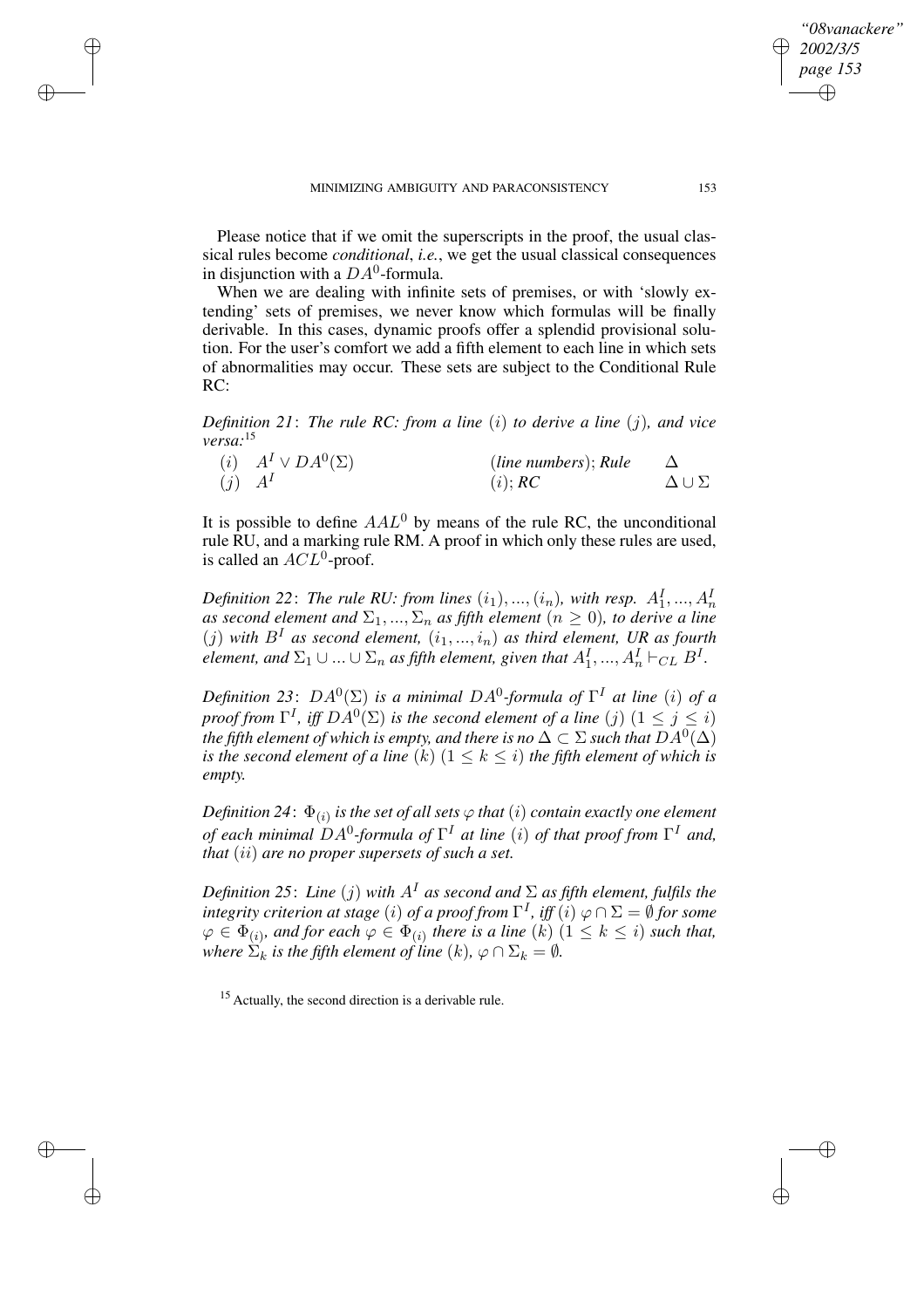✐

✐

✐

Please notice that if we omit the superscripts in the proof, the usual classical rules become *conditional*, *i.e.*, we get the usual classical consequences in disjunction with a  $DA^0$ -formula.

When we are dealing with infinite sets of premises, or with 'slowly extending' sets of premises, we never know which formulas will be finally derivable. In this cases, dynamic proofs offer a splendid provisional solution. For the user's comfort we add a fifth element to each line in which sets of abnormalities may occur. These sets are subject to the Conditional Rule RC:

*Definition 21*: *The rule RC: from a line* (i) *to derive a line* (j)*, and vice versa:*<sup>15</sup>

|            | ( <i>i</i> ) $A^I \vee DA^0(\Sigma)$ | (line numbers); Rule |                      |
|------------|--------------------------------------|----------------------|----------------------|
| $(j)$ $AI$ |                                      | (i); RC              | $\Delta \cup \Sigma$ |

It is possible to define  $A A L<sup>0</sup>$  by means of the rule RC, the unconditional rule RU, and a marking rule RM. A proof in which only these rules are used, is called an  $ACL^0$ -proof.

*Definition* 22: The rule RU: from lines  $(i_1), ..., (i_n)$ , with resp.  $A_1^I, ..., A_n^I$ *as second element and*  $\Sigma_1, ..., \Sigma_n$  *as fifth element* ( $n \ge 0$ )*, to derive a line*  $(j)$  *with*  $B<sup>I</sup>$  *as second element,*  $(i_1, ..., i_n)$  *as third element, UR as fourth element, and*  $\Sigma_1 \cup ... \cup \Sigma_n$  *as fifth element, given that*  $A_1^I,..., A_n^I \vdash_{CL} B^I$ .

*Definition* 23:  $DA^0(\Sigma)$  *is a minimal*  $DA^0$ -formula of  $\Gamma^I$  at line (i) of a *proof from*  $\Gamma^I$ *, iff*  $DA^0(\Sigma)$  *is the second element of a line* (j)  $(1 \leq j \leq i)$  $t$ he fifth element of which is empty, and there is no  $\Delta \subset \Sigma$  such that  $DA^0(\Delta)$ *is* the second element of a line  $(k)$   $(1 \leq k \leq i)$  the fifth element of which is *empty.*

 $D$ efinition 24 $: \Phi_{(i)}$  is the set of all sets  $\varphi$  that  $(i)$  contain exactly one element *of each minimal* DA<sup>0</sup> *-formula of* Γ <sup>I</sup> *at line* (i) *of that proof from* Γ <sup>I</sup> *and, that* (ii) *are no proper supersets of such a set.*

*Definition* 25: *Line* (j) with  $A<sup>T</sup>$  *as second and*  $\Sigma$  *as fifth element, fulfils the*  $i$ *ntegrity criterion at stage*  $(i)$  *of a proof from*  $\Gamma^I$ *, iff*  $(i)$   $\varphi \cap \Sigma = \emptyset$  *for some*  $\varphi \in \Phi_{(i)}$ , and for each  $\varphi \in \Phi_{(i)}$  there is a line (k)  $(1 \leq k \leq i)$  such that, *where*  $\Sigma_k$  *is the fifth element of line*  $(k)$ *,*  $\varphi \cap \Sigma_k = \emptyset$ *.* 

<sup>15</sup> Actually, the second direction is a derivable rule.

*"08vanackere" 2002/3/5 page 153*

✐

✐

✐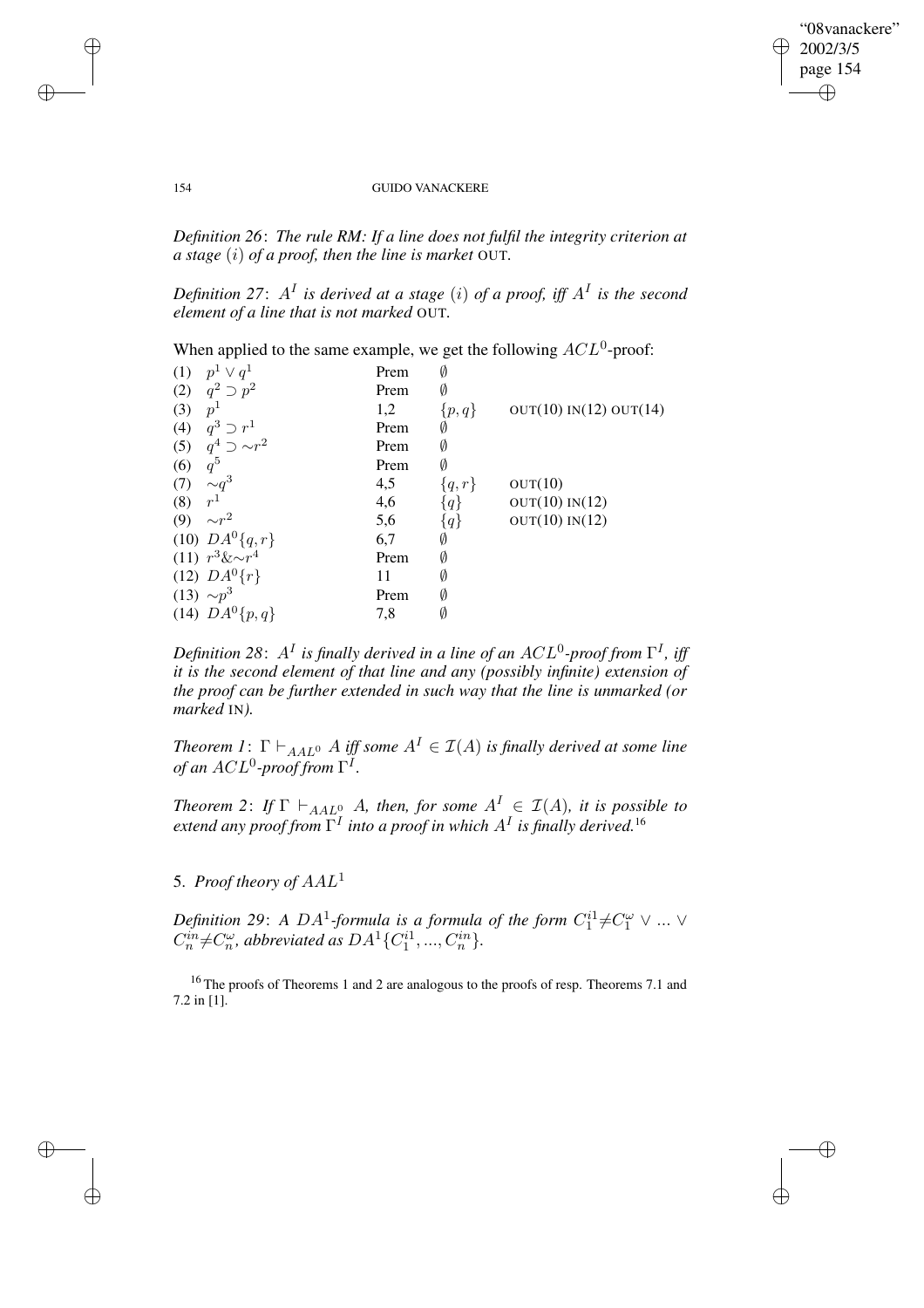$\bigoplus$ 

✐

### 154 GUIDO VANACKERE

*Definition 26*: *The rule RM: If a line does not fulfil the integrity criterion at a stage* (i) *of a proof, then the line is market* OUT*.*

Definition 27:  $A<sup>I</sup>$  is derived at a stage (i) of a proof, iff  $A<sup>I</sup>$  is the second *element of a line that is not marked* OUT*.*

When applied to the same example, we get the following  $ACL^0$ -proof:

| (1) | $p^1 \vee q^1$             | Prem | Ø         |                        |
|-----|----------------------------|------|-----------|------------------------|
|     | (2) $q^2 \supset p^2$      | Prem | Ø         |                        |
| (3) | $p^1$                      | 1,2  | $\{p,q\}$ | OUT(10) IN(12) OUT(14) |
| (4) | $q^3 \supset r^1$          | Prem | Ø         |                        |
|     | (5) $q^4 \supset \sim r^2$ | Prem | Ø         |                        |
| (6) | $q^5$                      | Prem | Ø         |                        |
| (7) | $\sim q^3$                 | 4,5  | $\{q,r\}$ | OUT(10)                |
| (8) | r <sup>1</sup>             | 4,6  | ${q}$     | OUT(10) IN(12)         |
| (9) | $\sim r^2$                 | 5,6  | ${q}$     | OUT(10) IN(12)         |
|     | (10) $DA^{0}{q,r}$         | 6,7  | Ø         |                        |
|     | $(11) r^3 \& \sim r^4$     | Prem | Ø         |                        |
|     | (12) $DA^{0}\{r\}$         | 11   | Ø         |                        |
|     | $(13) \sim p^3$            | Prem | Ø         |                        |
|     | (14) $DA^{0}{p,q}$         | 7,8  | Ø         |                        |
|     |                            |      |           |                        |

Definition 28:  $A^I$  is finally derived in a line of an  $ACL^0$ -proof from  $\Gamma^I$ , iff *it is the second element of that line and any (possibly infinite) extension of the proof can be further extended in such way that the line is unmarked (or marked* IN*).*

*Theorem* 1:  $\Gamma \vdash_{AAL^0} A$  *iff some*  $A^I \in \mathcal{I}(A)$  *is finally derived at some line*  $of$  an  $ACL^0$ -proof from  $\Gamma^I.$ 

*Theorem* 2: *If*  $\Gamma \vdash_{AAL^0} A$ *, then, for some*  $A^I \in \mathcal{I}(A)$ *, it is possible to extend any proof from* Γ I *into a proof in which* A<sup>I</sup> *is finally derived.*<sup>16</sup>

5. *Proof theory of* AAL<sup>1</sup>

*Definition* 29: *A DA*<sup>1</sup>-formula is a formula of the form  $C_1^{i1} \neq C_1^{\omega} \vee ... \vee$  $C_n^{in} \neq C_n^{\omega}$ , abbreviated as  $DA^1\{C_1^{i1},...,C_n^{in}\}$ .

<sup>16</sup> The proofs of Theorems 1 and 2 are analogous to the proofs of resp. Theorems 7.1 and 7.2 in [1].

 $\rightarrow$ 

 $\rightarrow$ 

✐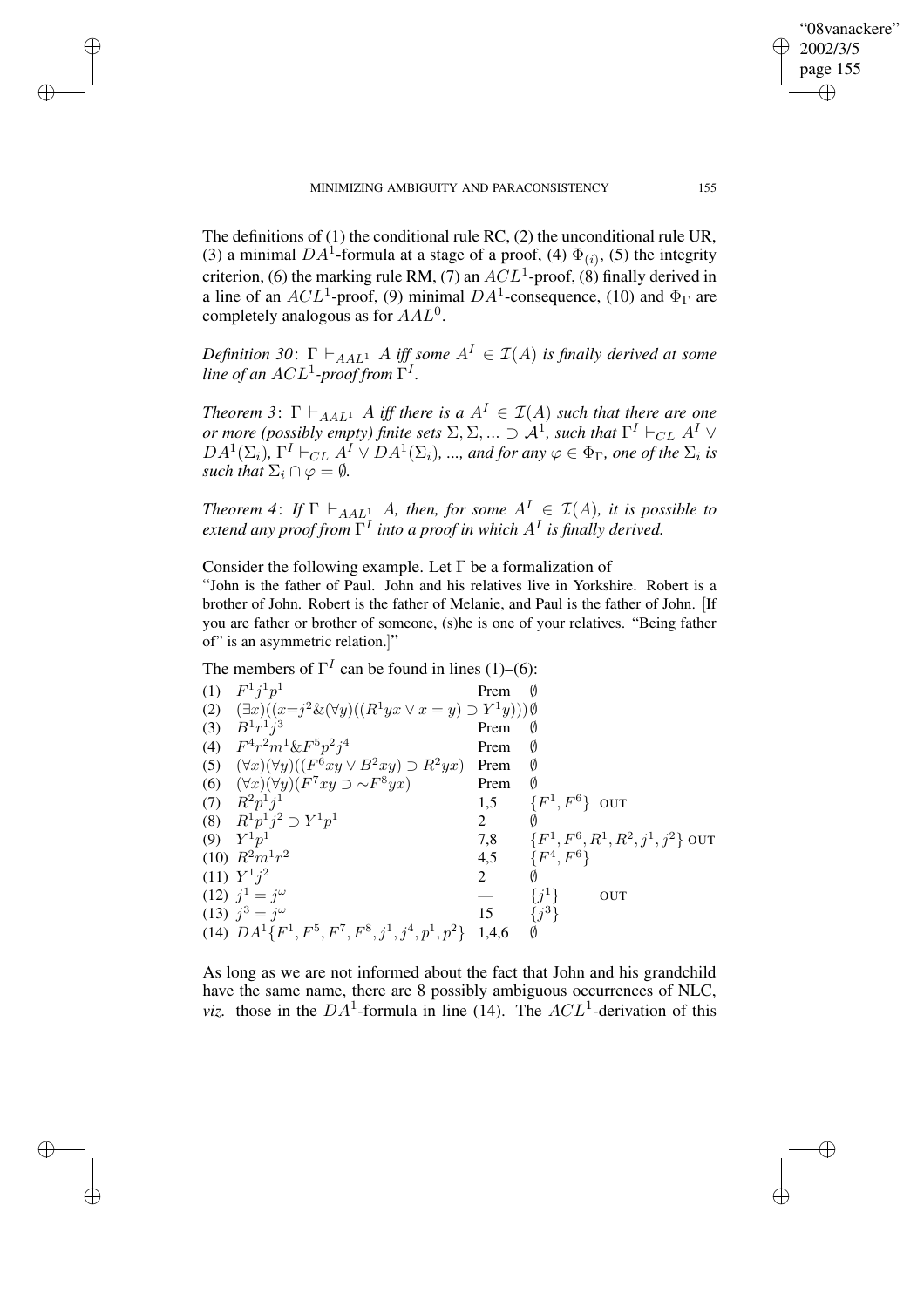$\rightarrow$ 

 $\rightarrow$ 

✐

✐

The definitions of (1) the conditional rule RC, (2) the unconditional rule UR, (3) a minimal DA<sup>1</sup>-formula at a stage of a proof, (4)  $\Phi_{(i)}$ , (5) the integrity criterion, (6) the marking rule RM, (7) an  $ACL<sup>1</sup>$ -proof, (8) finally derived in a line of an  $ACL^1$ -proof, (9) minimal  $DA^1$ -consequence, (10) and  $\Phi_{\Gamma}$  are completely analogous as for  $AAL^0$ .

*Definition* 30:  $\Gamma \vdash_{AAL^1} A$  *iff some*  $A^I \in \mathcal{I}(A)$  *is finally derived at some* line of an  $ACL^1$ -proof from  $\Gamma^I.$ 

*Theorem* 3:  $\Gamma \vdash_{AAL} A$  *iff there is*  $a A<sup>I</sup> \in I(A)$  *such that there are one or more (possibly empty) finite sets*  $\Sigma, \Sigma, ... \supset \mathcal{A}^1$ *, such that*  $\Gamma^I \vdash_{CL} A^I \vee$  $DA^1(\Sigma_i)$ ,  $\Gamma^I \vdash_{CL} A^I \vee DA^1(\Sigma_i)$ , ..., and for any  $\varphi \in \Phi_{\Gamma}$ , one of the  $\Sigma_i$  is *such that*  $\Sigma_i \cap \varnothing = \emptyset$ .

*Theorem* 4: *If*  $\Gamma \vdash_{AAL} A$ *, then, for some*  $A^I \in \mathcal{I}(A)$ *, it is possible to extend any proof from* Γ I *into a proof in which* A<sup>I</sup> *is finally derived.*

Consider the following example. Let Γ be a formalization of

"John is the father of Paul. John and his relatives live in Yorkshire. Robert is a brother of John. Robert is the father of Melanie, and Paul is the father of John. [If you are father or brother of someone, (s)he is one of your relatives. "Being father of" is an asymmetric relation.]"

The members of  $\Gamma^I$  can be found in lines (1)–(6):

(1)  $F^1 j^1 p$ 1 Prem *Ø* (2)  $(\exists x)((x=j^2 \& (\forall y)((R^1yx \lor x=y) \supset Y^1y)))$ (3)  $B^{1}r^{1}j$  $3 \t\t Premi \t\t \emptyset$ (4)  $F^4r^2m^1\&F^5p^2j$ Prem Ø (5)  $(\forall x)(\forall y)((F^{\bar{6}}xy \lor B^2xy) \supset R^2yx)$  Prem Ø (6)  $(\forall x)(\forall y)(F^7xy \supset \sim F^8yx)$  Prem Ø (7)  $R^2 p^1 j$ 1,5  $\{F$  $\{1, F^6\}$  OUT (8)  $R^1 p^1 j^2 \supset Y^1 p$ 1 2  $\emptyset$ (9)  $Y^{1}p$ 1  $7,8$  {F  $\frac{1}{4}$ ,  $F^6$ ,  $R^1$ ,  $R^2$ ,  $j^1$ ,  $j^2$ } out  $(10)$   $R^2m^1r$ 2  $4,5$   $\{F$ , F 6}  $(11) Y^1 j$ 2  $2\overline{\varnothing}$ (12)  $j^1 = j$ ω  $-$  {j <sup>1</sup>} OUT (13)  $j^3 = j$  $\omega$  15  $\{j$ 3} (14)  $DA^1\{F^1, F^5, F^7, F^8, j^1, j^4, p^1, p^2\}$  1,4,6  $\emptyset$ 

As long as we are not informed about the fact that John and his grandchild have the same name, there are 8 possibly ambiguous occurrences of NLC, *viz.* those in the  $DA^1$ -formula in line (14). The  $ACL^1$ -derivation of this

"08vanackere" 2002/3/5 page 155

✐

✐

✐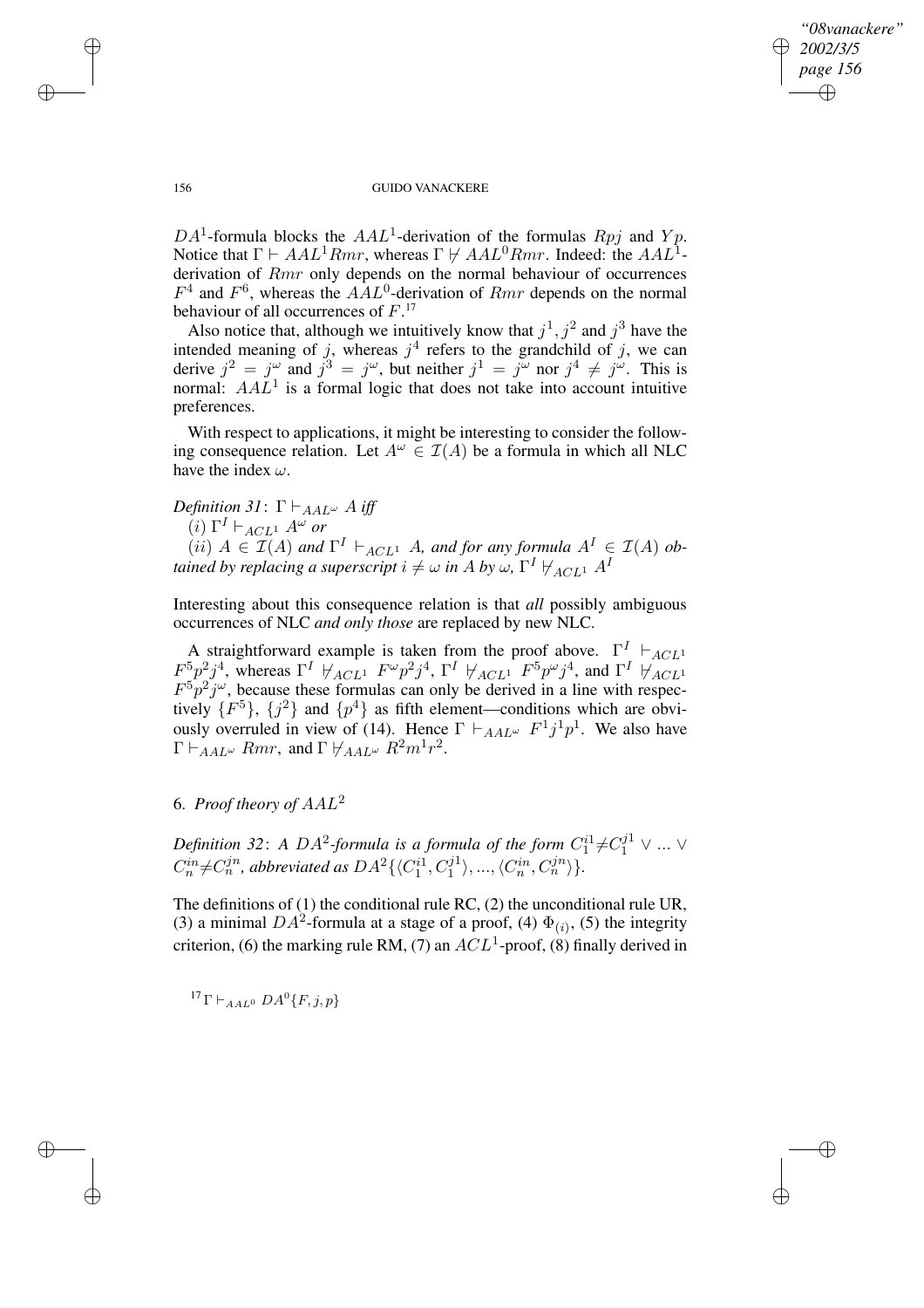✐

### 156 GUIDO VANACKERE

DA<sup>1</sup>-formula blocks the AAL<sup>1</sup>-derivation of the formulas Rpj and Yp. Notice that  $\Gamma \vdash AAL^1Rmr$ , whereas  $\Gamma \not\vdash AAL^0Rmr$ . Indeed: the  $AAL^1$ derivation of *Rmr* only depends on the normal behaviour of occurrences  $F<sup>4</sup>$  and  $F<sup>6</sup>$ , whereas the  $AAL<sup>0</sup>$ -derivation of  $Rmr$  depends on the normal behaviour of all occurrences of  $F$ .<sup>17</sup>

Also notice that, although we intuitively know that  $j^1, j^2$  and  $j^3$  have the intended meaning of j, whereas  $j<sup>4</sup>$  refers to the grandchild of j, we can derive  $j^2 = j^{\omega}$  and  $j^3 = j^{\omega}$ , but neither  $j^1 = j^{\omega}$  nor  $j^4 \neq j^{\omega}$ . This is normal:  $A A L<sup>1</sup>$  is a formal logic that does not take into account intuitive preferences.

With respect to applications, it might be interesting to consider the following consequence relation. Let  $A^{\omega} \in \mathcal{I}(A)$  be a formula in which all NLC have the index  $\omega$ .

*Definition* 31:  $\Gamma \vdash_{AAL^{\omega}} A$  *iff* 

 $(i)$   $\Gamma^I \vdash_{ACL^1} A^\omega$  or

 $(iii)$   $A \in \mathcal{I}(A)$  and  $\Gamma^I \vdash_{ACL^1} A$ *, and for any formula*  $A^I \in \mathcal{I}(A)$  *obtained by replacing a superscript*  $i \neq \omega$  *<i>in A by*  $\omega$ ,  $\Gamma^I \nvDash_{ACL^1} A^I$ 

Interesting about this consequence relation is that *all* possibly ambiguous occurrences of NLC *and only those* are replaced by new NLC.

A straightforward example is taken from the proof above.  $\Gamma^I$   $\vdash_{ACL}$ 1  $F^5p^2j^4$ , whereas  $\Gamma^I$   $\forall_{ACL^1}$   $F^{\omega}p^2j^4$ ,  $\Gamma^I$   $\forall_{ACL^1}$   $F^5p^{\omega}j^4$ , and  $\Gamma^I$   $\forall_{ACL^1}$  $F^5 p^2 j^{\omega}$ , because these formulas can only be derived in a line with respectively  $\{F^5\}$ ,  $\{j^2\}$  and  $\{p^4\}$  as fifth element—conditions which are obviously overruled in view of (14). Hence  $\Gamma \vdash_{AAL^{\omega}} F^{1}j^{1}p^{1}$ . We also have  $\Gamma \vdash_{AAL^{\omega}} Rmr$ , and  $\Gamma \not\vdash_{AAL^{\omega}} R^{2}m^{1}r^{2}$ .

# 6. *Proof theory of* AAL<sup>2</sup>

*Definition* 32: *A DA*<sup>2</sup>-formula is a formula of the form  $C_1^{i1} \neq C_1^{j1} \vee ... \vee$  $C_n^{in} \neq C_n^{jn}$ , abbreviated as  $DA^2 \{\langle C_1^{i1}, C_1^{j1}\rangle\}$  $\langle C_n^{in}, C_n^{jn} \rangle$ .

The definitions of (1) the conditional rule RC, (2) the unconditional rule UR, (3) a minimal DA<sup>2</sup>-formula at a stage of a proof, (4)  $\Phi_{(i)}$ , (5) the integrity criterion, (6) the marking rule RM, (7) an  $ACL<sup>1</sup>$ -proof, (8) finally derived in

<sup>17</sup> Γ  $\vdash_{AAL^0} DA^0$  {*F*, *j*, *p*}

 $\rightarrow$ 

 $\rightarrow$ 

✐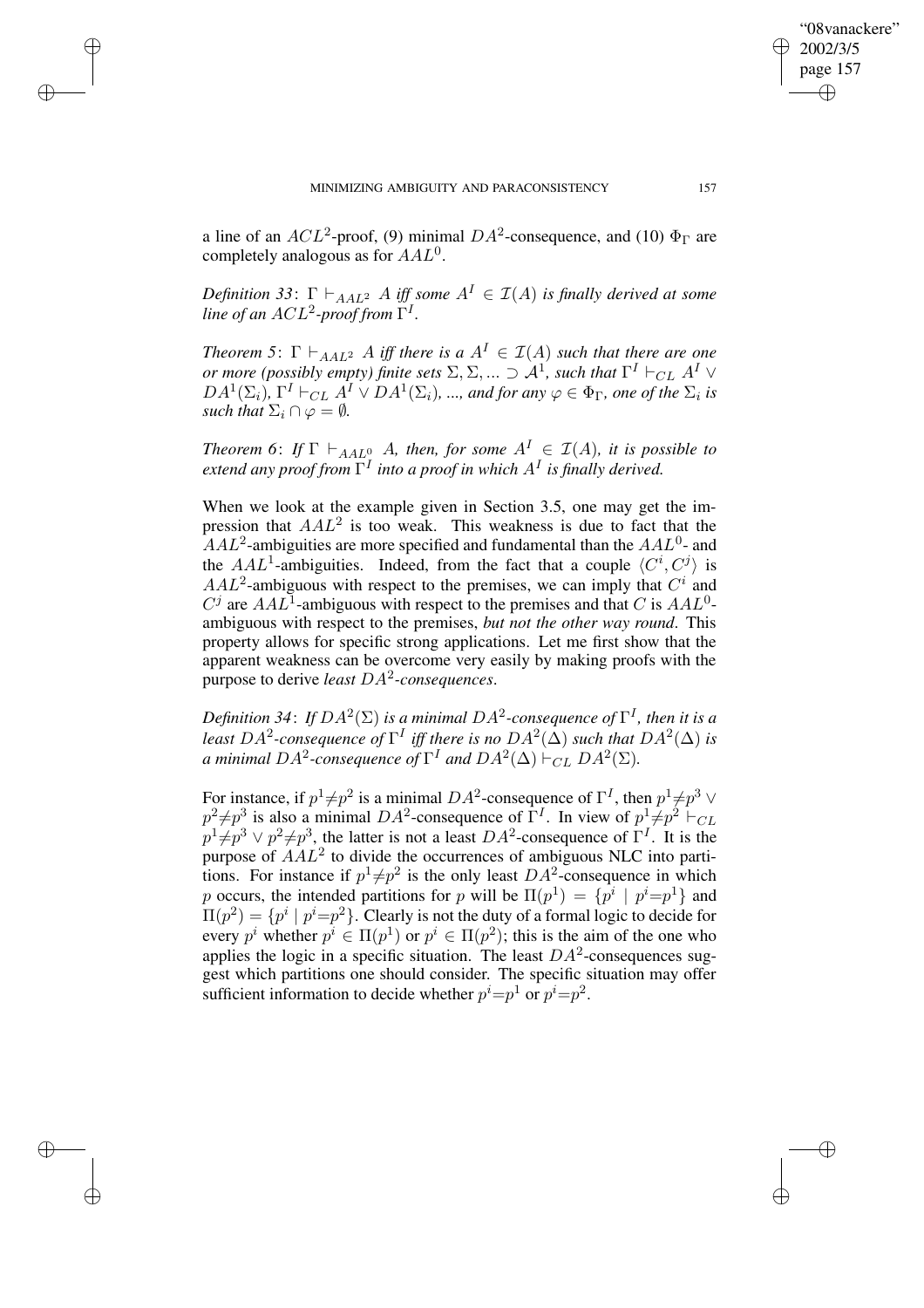$\rightarrow$ 

 $\rightarrow$ 

✐

✐

a line of an  $ACL^2$ -proof, (9) minimal  $DA^2$ -consequence, and (10)  $\Phi_{\Gamma}$  are completely analogous as for  $AAL^0$ .

*Definition* 33:  $\Gamma \vdash_{AAL^2} A$  *iff some*  $A^I \in \mathcal{I}(A)$  *is finally derived at some* line of an  $ACL^2$ -proof from  $\Gamma^I$ .

*Theorem* 5:  $\Gamma \vdash_{AAL^2} A$  *iff there is*  $a A^I \in I(A)$  *such that there are one or more (possibly empty) finite sets*  $\Sigma, \Sigma, ... \supset \mathcal{A}^1$ *, such that*  $\Gamma^I \vdash_{CL} A^I \vee$  $DA^1(\Sigma_i)$ ,  $\Gamma^I \vdash_{CL} A^I \vee DA^1(\Sigma_i)$ , ..., and for any  $\varphi \in \Phi_{\Gamma}$ , one of the  $\Sigma_i$  is *such that*  $\Sigma_i \cap \varphi = \emptyset$ *.* 

*Theorem* 6: *If*  $\Gamma \vdash_{AAL^0} A$ *, then, for some*  $A^I \in \mathcal{I}(A)$ *, it is possible to extend any proof from* Γ I *into a proof in which* A<sup>I</sup> *is finally derived.*

When we look at the example given in Section 3.5, one may get the impression that  $AAL^2$  is too weak. This weakness is due to fact that the  $AAL<sup>2</sup>$ -ambiguities are more specified and fundamental than the  $AAL<sup>0</sup>$ - and the AAL<sup>1</sup>-ambiguities. Indeed, from the fact that a couple  $\langle C^i, C^j \rangle$  is  $AAL<sup>2</sup>$ -ambiguous with respect to the premises, we can imply that  $C<sup>i</sup>$  and  $C^j$  are  $AAL^1$ -ambiguous with respect to the premises and that C is  $AAL^0$ ambiguous with respect to the premises, *but not the other way round*. This property allows for specific strong applications. Let me first show that the apparent weakness can be overcome very easily by making proofs with the purpose to derive *least* DA<sup>2</sup> *-consequences*.

Definition 34: If  $DA^2(\Sigma)$  is a minimal  $DA^2$ -consequence of  $\Gamma^I$ , then it is a least  $DA^2$ -consequence of  $\Gamma^I$  iff there is no  $DA^2(\Delta)$  such that  $DA^2(\Delta)$  is *a* minimal  $DA^2$ -consequence of  $\Gamma^I$  and  $DA^2(\Delta) \vdash_{CL} DA^2(\Sigma)$ .

For instance, if  $p^1 \neq p^2$  is a minimal  $DA^2$ -consequence of  $\Gamma^I$ , then  $p^1 \neq p^3 \vee p^4$  $p^2 \neq p^3$  is also a minimal  $DA^2$ -consequence of  $\Gamma^I$ . In view of  $p^1 \neq p^2 \vdash_{CL}$  $p^1 \neq p^3 \vee p^2 \neq p^3$ , the latter is not a least  $DA^2$ -consequence of  $\Gamma^I$ . It is the purpose of  $AAL<sup>2</sup>$  to divide the occurrences of ambiguous NLC into partitions. For instance if  $p^1 \neq p^2$  is the only least  $DA^2$ -consequence in which p occurs, the intended partitions for p will be  $\Pi(p^1) = \{p^i \mid p^i = p^1\}$  and  $\Pi(p^2) = \{p^i \mid p^i = p^2\}$ . Clearly is not the duty of a formal logic to decide for every  $p^i$  whether  $p^i \in \Pi(p^1)$  or  $p^i \in \Pi(p^2)$ ; this is the aim of the one who applies the logic in a specific situation. The least  $DA^2$ -consequences suggest which partitions one should consider. The specific situation may offer sufficient information to decide whether  $p^i = p^1$  or  $p^i = p^2$ .

"08vanackere" 2002/3/5 page 157

✐

✐

✐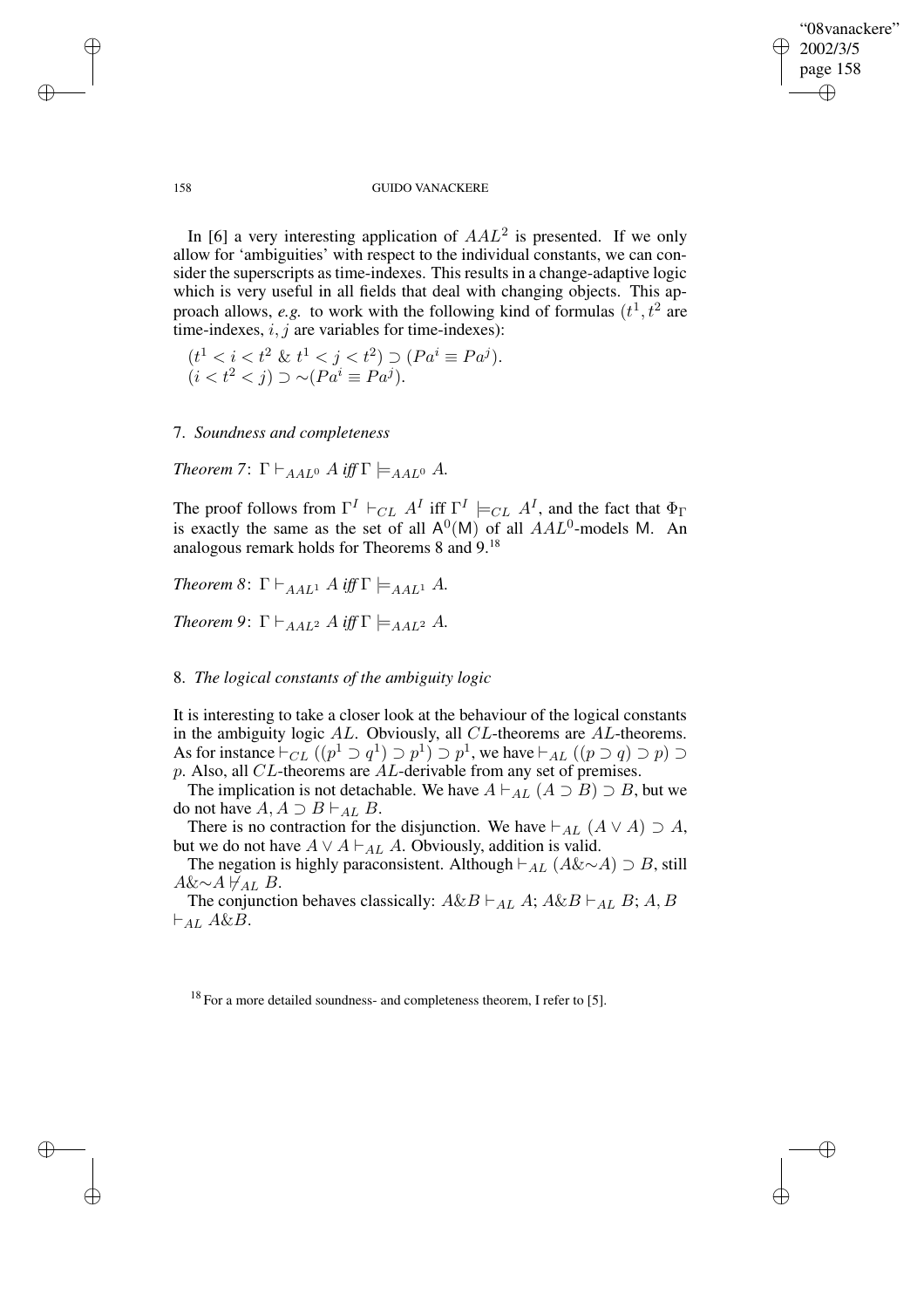✐

### 158 GUIDO VANACKERE

In [6] a very interesting application of  $AAL^2$  is presented. If we only allow for 'ambiguities' with respect to the individual constants, we can consider the superscripts as time-indexes. This results in a change-adaptive logic which is very useful in all fields that deal with changing objects. This approach allows, *e.g.* to work with the following kind of formulas  $(t^1, t^2)$  are time-indexes,  $i, j$  are variables for time-indexes):

$$
(t1 < i < t2 \& t1 < j < t2) \supset (Pai \equiv Paj).
$$
  
( $i < t2 < j$ )  $\supset \sim (Pai \equiv Paj).$ 

7. *Soundness and completeness*

*Theorem* 7:  $\Gamma \vdash_{AALO} A$  *iff*  $\Gamma \models_{AALO} A$ .

The proof follows from  $\Gamma^I \vdash_{CL} A^I$  iff  $\Gamma^I \models_{CL} A^I$ , and the fact that  $\Phi_{\Gamma}$ is exactly the same as the set of all  $A^0(M)$  of all  $AAL^0$ -models M. An analogous remark holds for Theorems 8 and 9.<sup>18</sup>

*Theorem* 8:  $\Gamma \vdash_{AAL^1} A$  *iff*  $\Gamma \models_{AAL^1} A$ *.* 

*Theorem* 9:  $\Gamma \vdash_{A A L^2} A$  *iff*  $\Gamma \models_{A A L^2} A$ *.* 

## 8. *The logical constants of the ambiguity logic*

It is interesting to take a closer look at the behaviour of the logical constants in the ambiguity logic AL. Obviously, all CL-theorems are AL-theorems. As for instance  $\vdash_{CL} ((p^1 \supset q^1) \supset p^1) \supset p^1$ , we have  $\vdash_{AL} ((p \supset q) \supset p) \supset$  $p.$  Also, all  $CL$ -theorems are  $AL$ -derivable from any set of premises.

The implication is not detachable. We have  $A \vdash_{AL} (A \supset B) \supset B$ , but we do not have  $A, A \supset B \vdash_{AL} B$ .

There is no contraction for the disjunction. We have  $\vdash_{AL} (A \lor A) \supset A$ , but we do not have  $A \vee A \vdash_{AL} A$ . Obviously, addition is valid.

The negation is highly paraconsistent. Although  $\vdash_{AL} (A \& \sim A) \supset B$ , still  $A&\sim A\,\forall_{AL} B$ .

The conjunction behaves classically:  $A \& B \vdash_{AL} A$ ;  $A \& B \vdash_{AL} B$ ;  $A, B$  $\vdash_{AL} A\&B.$ 

 $18$  For a more detailed soundness- and completeness theorem. I refer to [5].

 $\rightarrow$ 

 $\rightarrow$ 

✐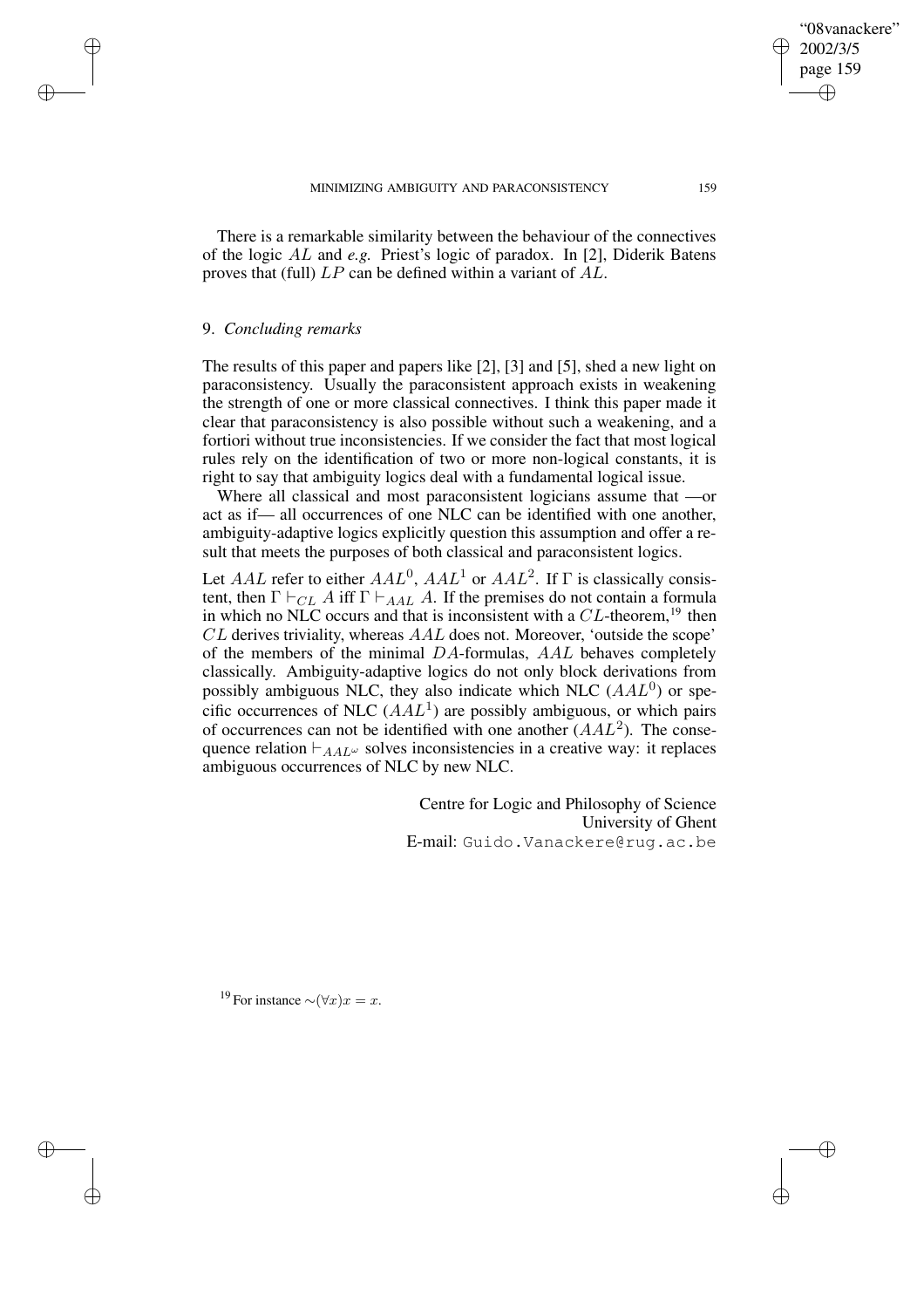There is a remarkable similarity between the behaviour of the connectives of the logic AL and *e.g.* Priest's logic of paradox. In [2], Diderik Batens proves that (full) LP can be defined within a variant of AL.

### 9. *Concluding remarks*

 $\rightarrow$ 

 $\rightarrow$ 

✐

✐

The results of this paper and papers like [2], [3] and [5], shed a new light on paraconsistency. Usually the paraconsistent approach exists in weakening the strength of one or more classical connectives. I think this paper made it clear that paraconsistency is also possible without such a weakening, and a fortiori without true inconsistencies. If we consider the fact that most logical rules rely on the identification of two or more non-logical constants, it is right to say that ambiguity logics deal with a fundamental logical issue.

Where all classical and most paraconsistent logicians assume that —or act as if— all occurrences of one NLC can be identified with one another, ambiguity-adaptive logics explicitly question this assumption and offer a result that meets the purposes of both classical and paraconsistent logics.

Let AAL refer to either  $AAL^0$ ,  $AAL^1$  or  $AAL^2$ . If  $\Gamma$  is classically consistent, then  $\Gamma \vdash_{CL} A$  iff  $\Gamma \vdash_{AAL} A$ . If the premises do not contain a formula in which no NLC occurs and that is inconsistent with a  $CL$ -theorem, <sup>19</sup> then CL derives triviality, whereas AAL does not. Moreover, 'outside the scope' of the members of the minimal DA-formulas, AAL behaves completely classically. Ambiguity-adaptive logics do not only block derivations from possibly ambiguous NLC, they also indicate which NLC  $(AAL<sup>0</sup>)$  or specific occurrences of NLC  $(AAL<sup>1</sup>)$  are possibly ambiguous, or which pairs of occurrences can not be identified with one another  $(AAL^2)$ . The consequence relation  $\vdash_{AA}L^{\omega}$  solves inconsistencies in a creative way: it replaces ambiguous occurrences of NLC by new NLC.

> Centre for Logic and Philosophy of Science University of Ghent E-mail: Guido.Vanackere@rug.ac.be

<sup>19</sup> For instance  $\sim (\forall x)x = x$ .

"08vanackere" 2002/3/5 page 159

✐

✐

✐